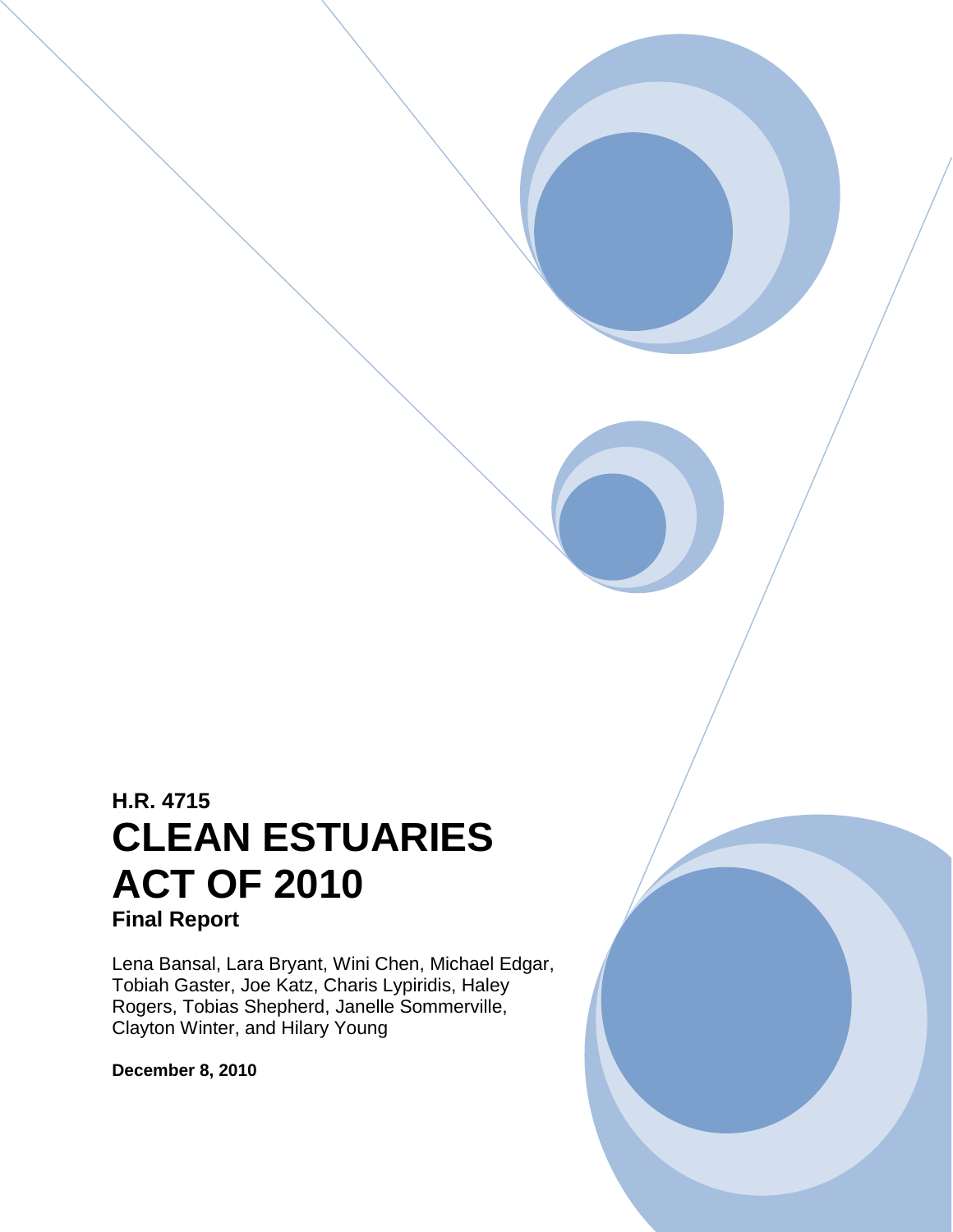# **H.R. 4715 CLEAN ESTUARIES ACT OF 2010 Final Report**

Lena Bansal, Lara Bryant, Wini Chen, Michael Edgar, Tobiah Gaster, Joe Katz, Charis Lypiridis, Haley Rogers, Tobias Shepherd, Janelle Sommerville, Clayton Winter, and Hilary Young

**December 8, 2010**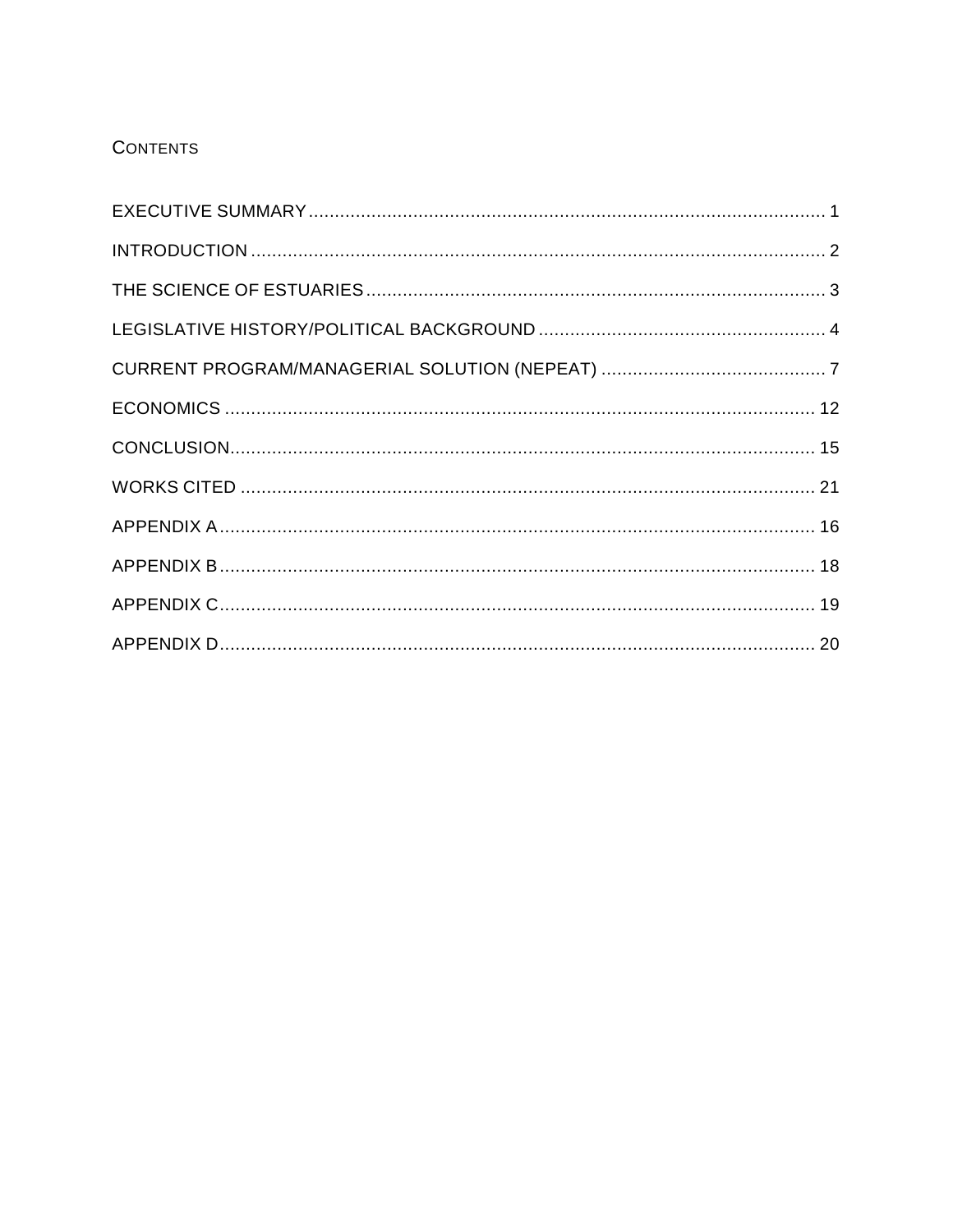# **CONTENTS**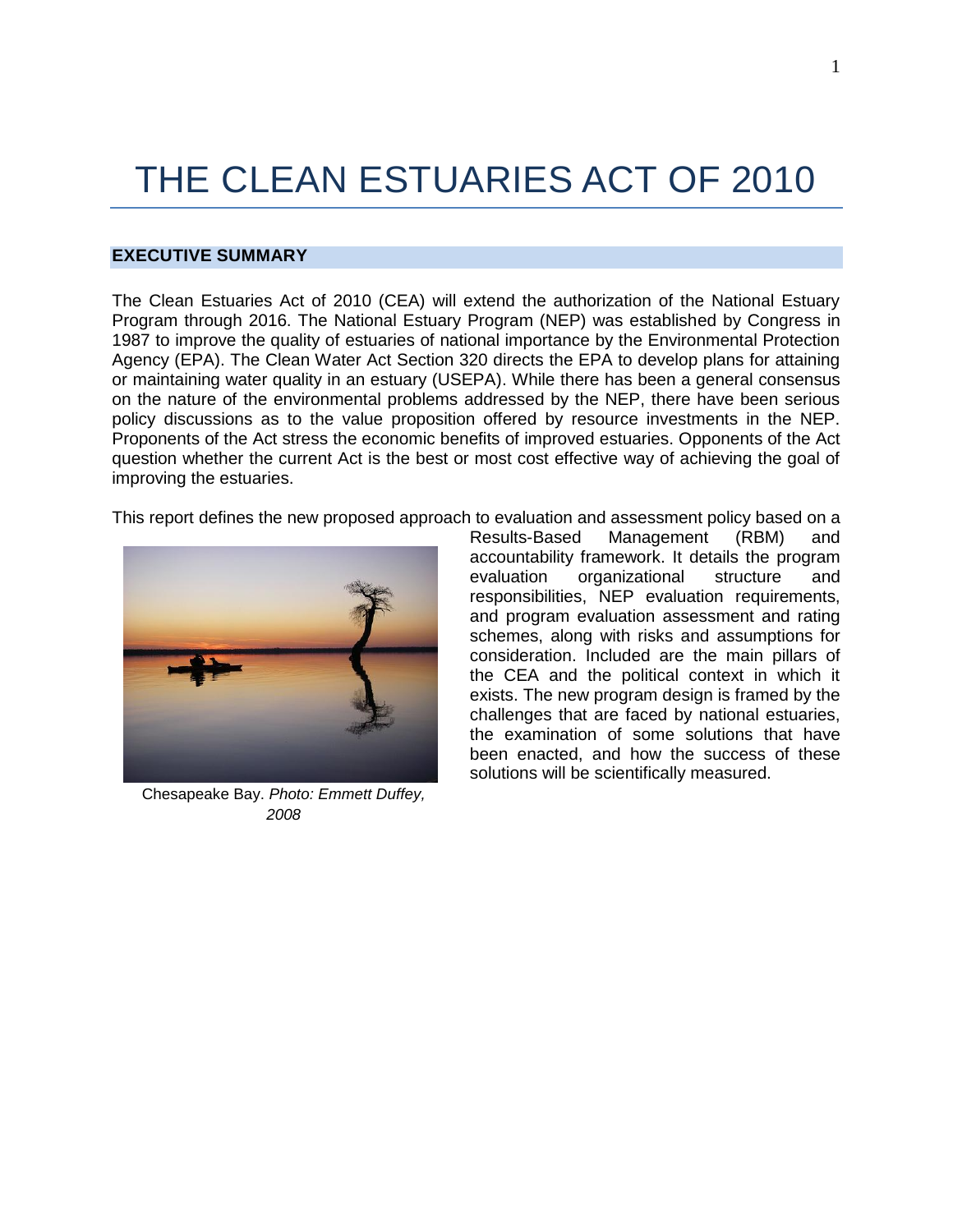# THE CLEAN ESTUARIES ACT OF 2010

# <span id="page-2-0"></span>**EXECUTIVE SUMMARY**

The Clean Estuaries Act of 2010 (CEA) will extend the authorization of the National Estuary Program through 2016. The National Estuary Program (NEP) was established by Congress in 1987 to improve the quality of estuaries of national importance by the Environmental Protection Agency (EPA). The Clean Water Act Section 320 directs the EPA to develop plans for attaining or maintaining water quality in an estuary (USEPA). While there has been a general consensus on the nature of the environmental problems addressed by the NEP, there have been serious policy discussions as to the value proposition offered by resource investments in the NEP. Proponents of the Act stress the economic benefits of improved estuaries. Opponents of the Act question whether the current Act is the best or most cost effective way of achieving the goal of improving the estuaries.

This report defines the new proposed approach to evaluation and assessment policy based on a



Chesapeake Bay. *Photo: Emmett Duffey, 2008*

Results-Based Management (RBM) and accountability framework. It details the program evaluation organizational structure and responsibilities, NEP evaluation requirements, and program evaluation assessment and rating schemes, along with risks and assumptions for consideration. Included are the main pillars of the CEA and the political context in which it exists. The new program design is framed by the challenges that are faced by national estuaries, the examination of some solutions that have been enacted, and how the success of these solutions will be scientifically measured.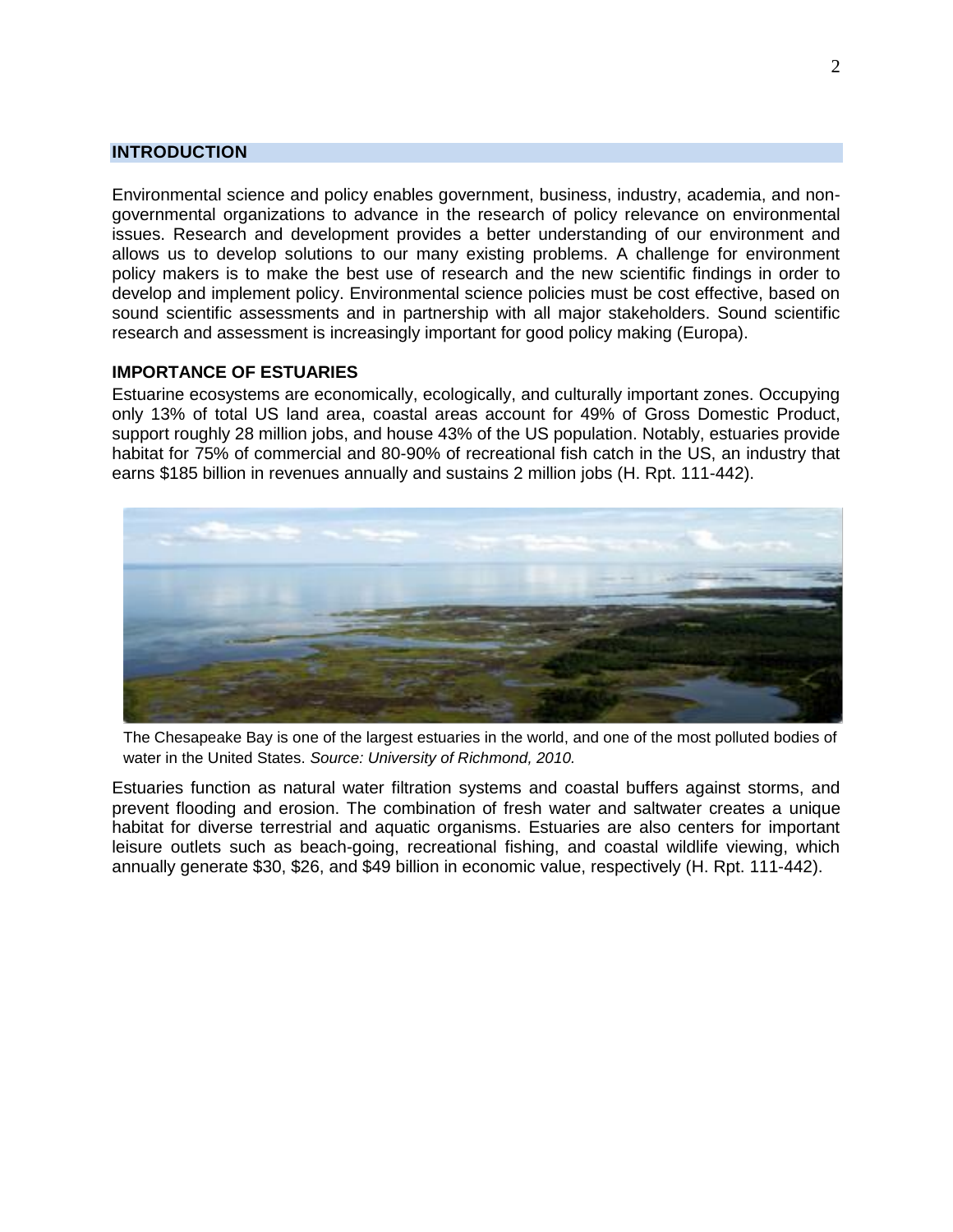# <span id="page-3-0"></span>**INTRODUCTION**

Environmental science and policy enables government, business, industry, academia, and nongovernmental organizations to advance in the research of policy relevance on environmental issues. Research and development provides a better understanding of our environment and allows us to develop solutions to our many existing problems. A challenge for environment policy makers is to make the best use of research and the new scientific findings in order to develop and implement policy. Environmental science policies must be cost effective, based on sound scientific assessments and in partnership with all major stakeholders. Sound scientific research and assessment is increasingly important for good policy making (Europa).

# **IMPORTANCE OF ESTUARIES**

Estuarine ecosystems are economically, ecologically, and culturally important zones. Occupying only 13% of total US land area, coastal areas account for 49% of Gross Domestic Product, support roughly 28 million jobs, and house 43% of the US population. Notably, estuaries provide habitat for 75% of commercial and 80-90% of recreational fish catch in the US, an industry that earns \$185 billion in revenues annually and sustains 2 million jobs (H. Rpt. 111-442).



The Chesapeake Bay is one of the largest estuaries in the world, and one of the most polluted bodies of water in the United States. *Source: University of Richmond, 2010.*

Estuaries function as natural water filtration systems and coastal buffers against storms, and prevent flooding and erosion. The combination of fresh water and saltwater creates a unique habitat for diverse terrestrial and aquatic organisms. Estuaries are also centers for important leisure outlets such as beach-going, recreational fishing, and coastal wildlife viewing, which annually generate \$30, \$26, and \$49 billion in economic value, respectively (H. Rpt. 111-442).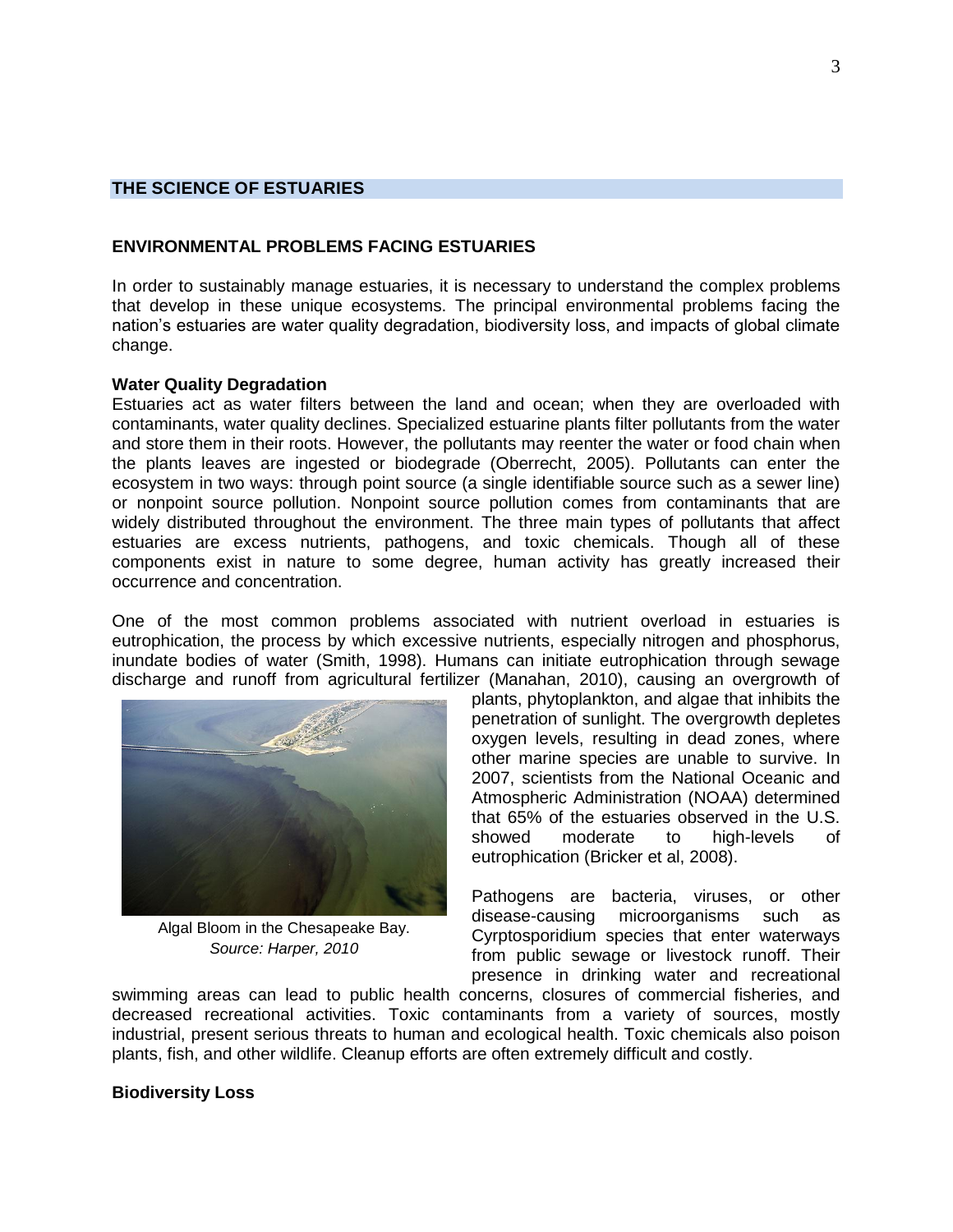# <span id="page-4-0"></span>**THE SCIENCE OF ESTUARIES**

#### **ENVIRONMENTAL PROBLEMS FACING ESTUARIES**

In order to sustainably manage estuaries, it is necessary to understand the complex problems that develop in these unique ecosystems. The principal environmental problems facing the nation's estuaries are water quality degradation, biodiversity loss, and impacts of global climate change.

#### **Water Quality Degradation**

Estuaries act as water filters between the land and ocean; when they are overloaded with contaminants, water quality declines. Specialized estuarine plants filter pollutants from the water and store them in their roots. However, the pollutants may reenter the water or food chain when the plants leaves are ingested or biodegrade (Oberrecht, 2005). Pollutants can enter the ecosystem in two ways: through point source (a single identifiable source such as a sewer line) or nonpoint source pollution. Nonpoint source pollution comes from contaminants that are widely distributed throughout the environment. The three main types of pollutants that affect estuaries are excess nutrients, pathogens, and toxic chemicals. Though all of these components exist in nature to some degree, human activity has greatly increased their occurrence and concentration.

One of the most common problems associated with nutrient overload in estuaries is eutrophication, the process by which excessive nutrients, especially nitrogen and phosphorus, inundate bodies of water (Smith, 1998). Humans can initiate eutrophication through sewage discharge and runoff from agricultural fertilizer (Manahan, 2010), causing an overgrowth of



Algal Bloom in the Chesapeake Bay. *Source: Harper, 2010*

plants, phytoplankton, and algae that inhibits the penetration of sunlight. The overgrowth depletes oxygen levels, resulting in dead zones, where other marine species are unable to survive. In 2007, scientists from the National Oceanic and Atmospheric Administration (NOAA) determined that 65% of the estuaries observed in the U.S. showed moderate to high-levels of eutrophication (Bricker et al, 2008).

Pathogens are bacteria, viruses, or other disease-causing microorganisms such as Cyrptosporidium species that enter waterways from public sewage or livestock runoff. Their presence in drinking water and recreational

swimming areas can lead to public health concerns, closures of commercial fisheries, and decreased recreational activities. Toxic contaminants from a variety of sources, mostly industrial, present serious threats to human and ecological health. Toxic chemicals also poison plants, fish, and other wildlife. Cleanup efforts are often extremely difficult and costly.

#### **Biodiversity Loss**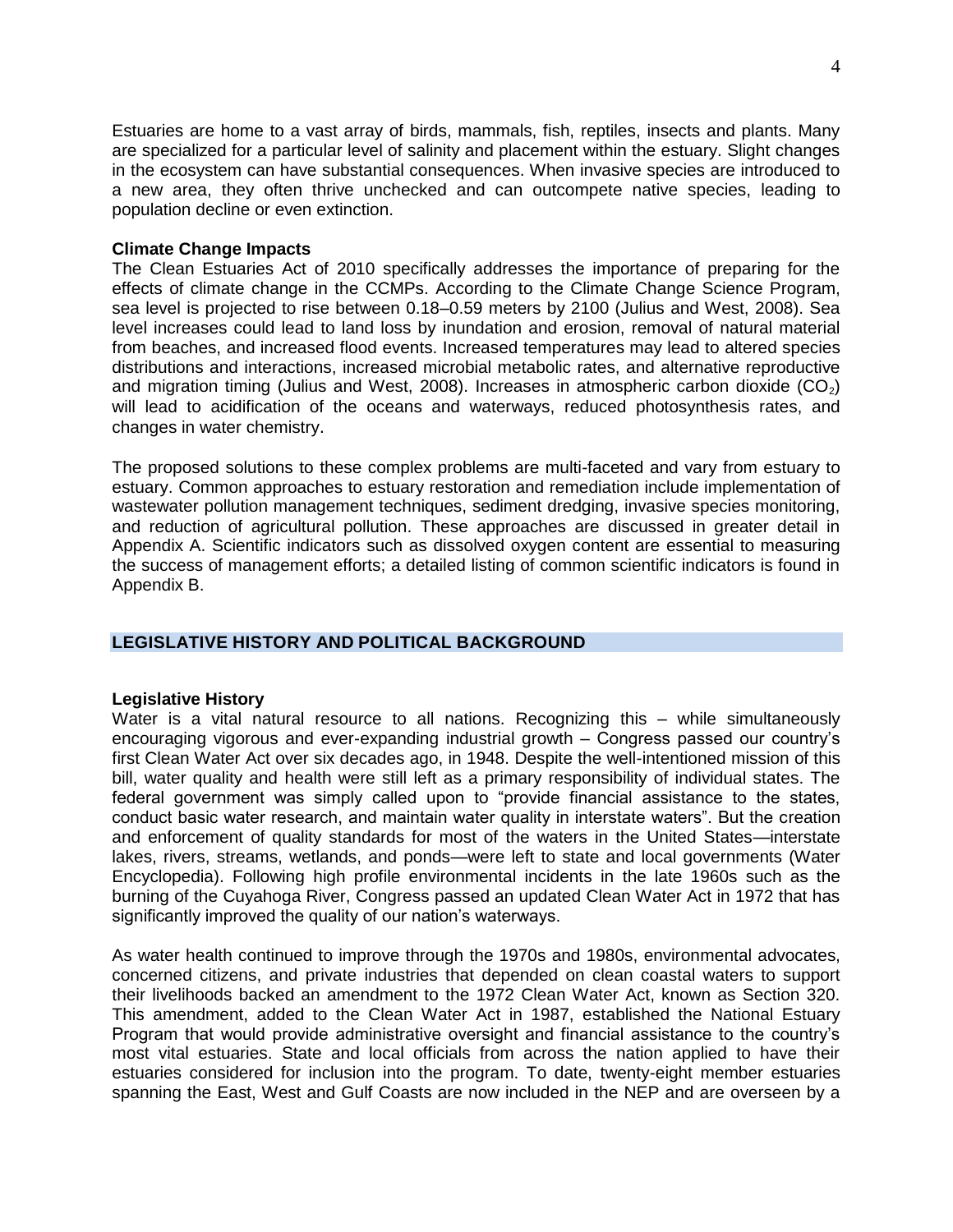Estuaries are home to a vast array of birds, mammals, fish, reptiles, insects and plants. Many are specialized for a particular level of salinity and placement within the estuary. Slight changes in the ecosystem can have substantial consequences. When invasive species are introduced to a new area, they often thrive unchecked and can outcompete native species, leading to population decline or even extinction.

#### **Climate Change Impacts**

The Clean Estuaries Act of 2010 specifically addresses the importance of preparing for the effects of climate change in the CCMPs. According to the Climate Change Science Program, sea level is projected to rise between 0.18–0.59 meters by 2100 (Julius and West, 2008). Sea level increases could lead to land loss by inundation and erosion, removal of natural material from beaches, and increased flood events. Increased temperatures may lead to altered species distributions and interactions, increased microbial metabolic rates, and alternative reproductive and migration timing (Julius and West, 2008). Increases in atmospheric carbon dioxide  $(CO<sub>2</sub>)$ will lead to acidification of the oceans and waterways, reduced photosynthesis rates, and changes in water chemistry.

The proposed solutions to these complex problems are multi-faceted and vary from estuary to estuary. Common approaches to estuary restoration and remediation include implementation of wastewater pollution management techniques, sediment dredging, invasive species monitoring, and reduction of agricultural pollution. These approaches are discussed in greater detail in Appendix A. Scientific indicators such as dissolved oxygen content are essential to measuring the success of management efforts; a detailed listing of common scientific indicators is found in Appendix B.

# <span id="page-5-0"></span>**LEGISLATIVE HISTORY AND POLITICAL BACKGROUND**

#### **Legislative History**

Water is a vital natural resource to all nations. Recognizing this – while simultaneously encouraging vigorous and ever-expanding industrial growth – Congress passed our country's first Clean Water Act over six decades ago, in 1948. Despite the well-intentioned mission of this bill, water quality and health were still left as a primary responsibility of individual states. The federal government was simply called upon to "provide financial assistance to the states, conduct basic water research, and maintain water quality in interstate waters". But the creation and enforcement of quality standards for most of the waters in the United States—interstate lakes, rivers, streams, wetlands, and ponds—were left to state and local governments (Water Encyclopedia). Following high profile environmental incidents in the late 1960s such as the burning of the Cuyahoga River, Congress passed an updated Clean Water Act in 1972 that has significantly improved the quality of our nation's waterways.

As water health continued to improve through the 1970s and 1980s, environmental advocates, concerned citizens, and private industries that depended on clean coastal waters to support their livelihoods backed an amendment to the 1972 Clean Water Act, known as Section 320. This amendment, added to the Clean Water Act in 1987, established the National Estuary Program that would provide administrative oversight and financial assistance to the country's most vital estuaries. State and local officials from across the nation applied to have their estuaries considered for inclusion into the program. To date, twenty-eight member estuaries spanning the East, West and Gulf Coasts are now included in the NEP and are overseen by a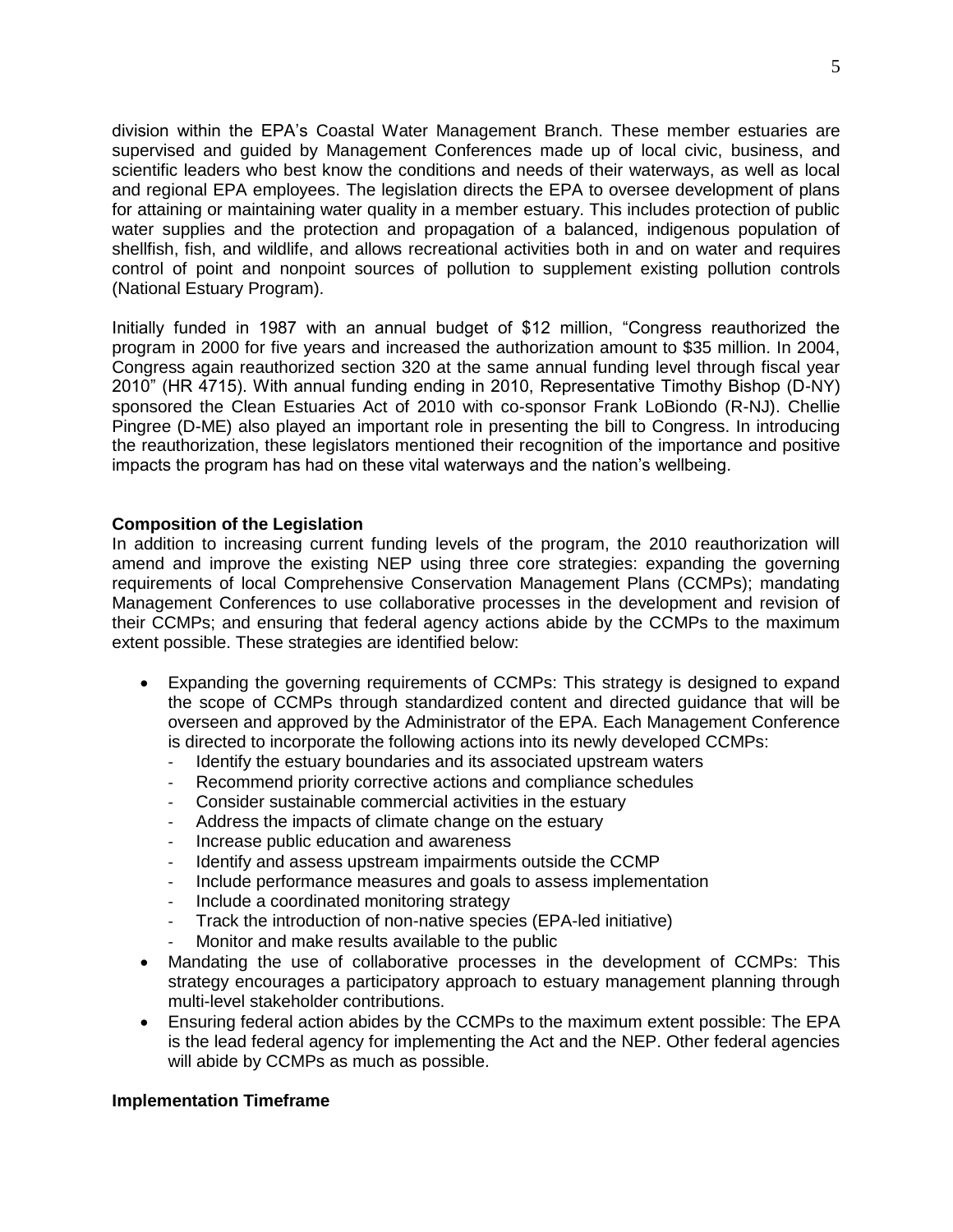division within the EPA's Coastal Water Management Branch. These member estuaries are supervised and guided by Management Conferences made up of local civic, business, and scientific leaders who best know the conditions and needs of their waterways, as well as local and regional EPA employees. The legislation directs the EPA to oversee development of plans for attaining or maintaining water quality in a member estuary. This includes protection of public water supplies and the protection and propagation of a balanced, indigenous population of shellfish, fish, and wildlife, and allows recreational activities both in and on water and requires control of point and nonpoint sources of pollution to supplement existing pollution controls (National Estuary Program).

Initially funded in 1987 with an annual budget of \$12 million, "Congress reauthorized the program in 2000 for five years and increased the authorization amount to \$35 million. In 2004, Congress again reauthorized section 320 at the same annual funding level through fiscal year 2010" (HR 4715). With annual funding ending in 2010, Representative Timothy Bishop (D-NY) sponsored the Clean Estuaries Act of 2010 with co-sponsor Frank LoBiondo (R-NJ). Chellie Pingree (D-ME) also played an important role in presenting the bill to Congress. In introducing the reauthorization, these legislators mentioned their recognition of the importance and positive impacts the program has had on these vital waterways and the nation's wellbeing.

# **Composition of the Legislation**

In addition to increasing current funding levels of the program, the 2010 reauthorization will amend and improve the existing NEP using three core strategies: expanding the governing requirements of local Comprehensive Conservation Management Plans (CCMPs); mandating Management Conferences to use collaborative processes in the development and revision of their CCMPs; and ensuring that federal agency actions abide by the CCMPs to the maximum extent possible. These strategies are identified below:

- Expanding the governing requirements of CCMPs: This strategy is designed to expand the scope of CCMPs through standardized content and directed guidance that will be overseen and approved by the Administrator of the EPA. Each Management Conference is directed to incorporate the following actions into its newly developed CCMPs:
	- Identify the estuary boundaries and its associated upstream waters
	- Recommend priority corrective actions and compliance schedules
	- Consider sustainable commercial activities in the estuary
	- Address the impacts of climate change on the estuary
	- Increase public education and awareness
	- Identify and assess upstream impairments outside the CCMP
	- Include performance measures and goals to assess implementation
	- Include a coordinated monitoring strategy
	- Track the introduction of non-native species (EPA-led initiative)
	- Monitor and make results available to the public
- Mandating the use of collaborative processes in the development of CCMPs: This strategy encourages a participatory approach to estuary management planning through multi-level stakeholder contributions.
- Ensuring federal action abides by the CCMPs to the maximum extent possible: The EPA is the lead federal agency for implementing the Act and the NEP. Other federal agencies will abide by CCMPs as much as possible.

# **Implementation Timeframe**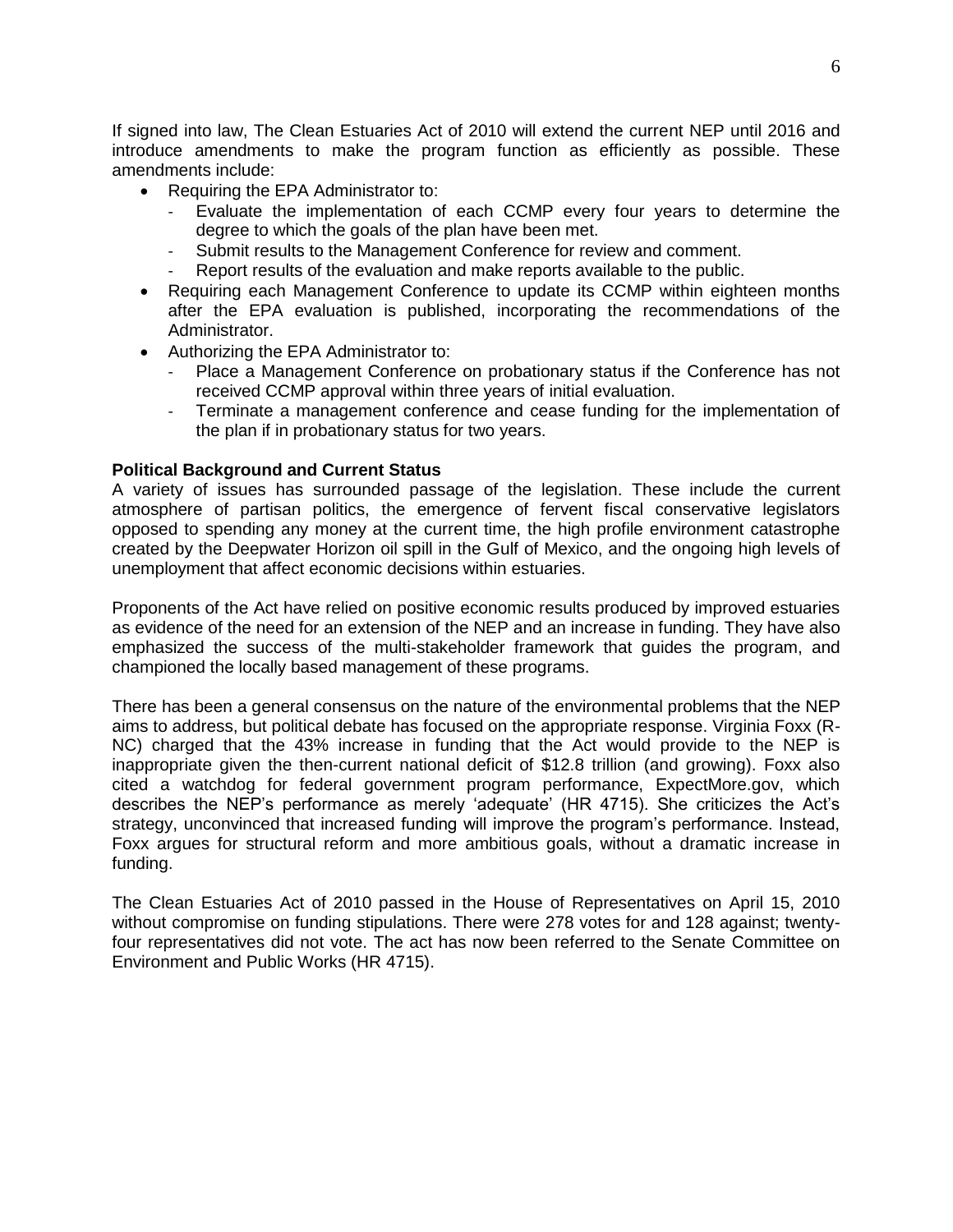If signed into law, The Clean Estuaries Act of 2010 will extend the current NEP until 2016 and introduce amendments to make the program function as efficiently as possible. These amendments include:

- Requiring the EPA Administrator to:
	- Evaluate the implementation of each CCMP every four years to determine the degree to which the goals of the plan have been met.
	- Submit results to the Management Conference for review and comment.
	- Report results of the evaluation and make reports available to the public.
- Requiring each Management Conference to update its CCMP within eighteen months after the EPA evaluation is published, incorporating the recommendations of the Administrator.
- Authorizing the EPA Administrator to:
	- Place a Management Conference on probationary status if the Conference has not received CCMP approval within three years of initial evaluation.
	- Terminate a management conference and cease funding for the implementation of the plan if in probationary status for two years.

# **Political Background and Current Status**

A variety of issues has surrounded passage of the legislation. These include the current atmosphere of partisan politics, the emergence of fervent fiscal conservative legislators opposed to spending any money at the current time, the high profile environment catastrophe created by the Deepwater Horizon oil spill in the Gulf of Mexico, and the ongoing high levels of unemployment that affect economic decisions within estuaries.

Proponents of the Act have relied on positive economic results produced by improved estuaries as evidence of the need for an extension of the NEP and an increase in funding. They have also emphasized the success of the multi-stakeholder framework that guides the program, and championed the locally based management of these programs.

There has been a general consensus on the nature of the environmental problems that the NEP aims to address, but political debate has focused on the appropriate response. Virginia Foxx (R-NC) charged that the 43% increase in funding that the Act would provide to the NEP is inappropriate given the then-current national deficit of \$12.8 trillion (and growing). Foxx also cited a watchdog for federal government program performance, ExpectMore.gov, which describes the NEP's performance as merely ‗adequate' (HR 4715). She criticizes the Act's strategy, unconvinced that increased funding will improve the program's performance. Instead, Foxx argues for structural reform and more ambitious goals, without a dramatic increase in funding.

The Clean Estuaries Act of 2010 passed in the House of Representatives on April 15, 2010 without compromise on funding stipulations. There were 278 votes for and 128 against; twentyfour representatives did not vote. The act has now been referred to the Senate Committee on Environment and Public Works (HR 4715).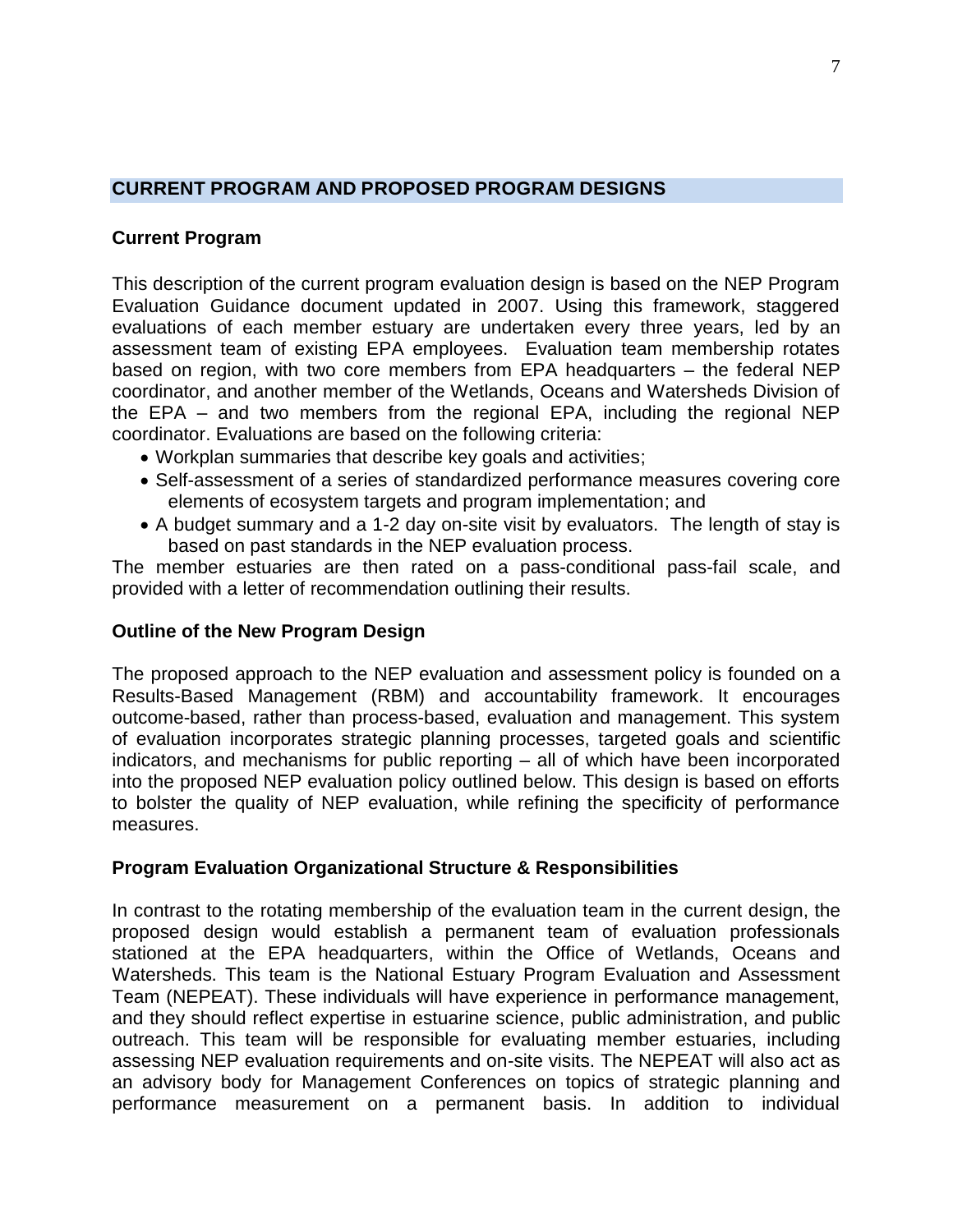# <span id="page-8-0"></span>**CURRENT PROGRAM AND PROPOSED PROGRAM DESIGNS**

# **Current Program**

This description of the current program evaluation design is based on the NEP Program Evaluation Guidance document updated in 2007. Using this framework, staggered evaluations of each member estuary are undertaken every three years, led by an assessment team of existing EPA employees. Evaluation team membership rotates based on region, with two core members from EPA headquarters – the federal NEP coordinator, and another member of the Wetlands, Oceans and Watersheds Division of the EPA – and two members from the regional EPA, including the regional NEP coordinator. Evaluations are based on the following criteria:

- Workplan summaries that describe key goals and activities;
- Self-assessment of a series of standardized performance measures covering core elements of ecosystem targets and program implementation; and
- A budget summary and a 1-2 day on-site visit by evaluators. The length of stay is based on past standards in the NEP evaluation process.

The member estuaries are then rated on a pass-conditional pass-fail scale, and provided with a letter of recommendation outlining their results.

# **Outline of the New Program Design**

The proposed approach to the NEP evaluation and assessment policy is founded on a Results-Based Management (RBM) and accountability framework. It encourages outcome-based, rather than process-based, evaluation and management. This system of evaluation incorporates strategic planning processes, targeted goals and scientific indicators, and mechanisms for public reporting – all of which have been incorporated into the proposed NEP evaluation policy outlined below. This design is based on efforts to bolster the quality of NEP evaluation, while refining the specificity of performance measures.

# **Program Evaluation Organizational Structure & Responsibilities**

In contrast to the rotating membership of the evaluation team in the current design, the proposed design would establish a permanent team of evaluation professionals stationed at the EPA headquarters, within the Office of Wetlands, Oceans and Watersheds. This team is the National Estuary Program Evaluation and Assessment Team (NEPEAT). These individuals will have experience in performance management, and they should reflect expertise in estuarine science, public administration, and public outreach. This team will be responsible for evaluating member estuaries, including assessing NEP evaluation requirements and on-site visits. The NEPEAT will also act as an advisory body for Management Conferences on topics of strategic planning and performance measurement on a permanent basis. In addition to individual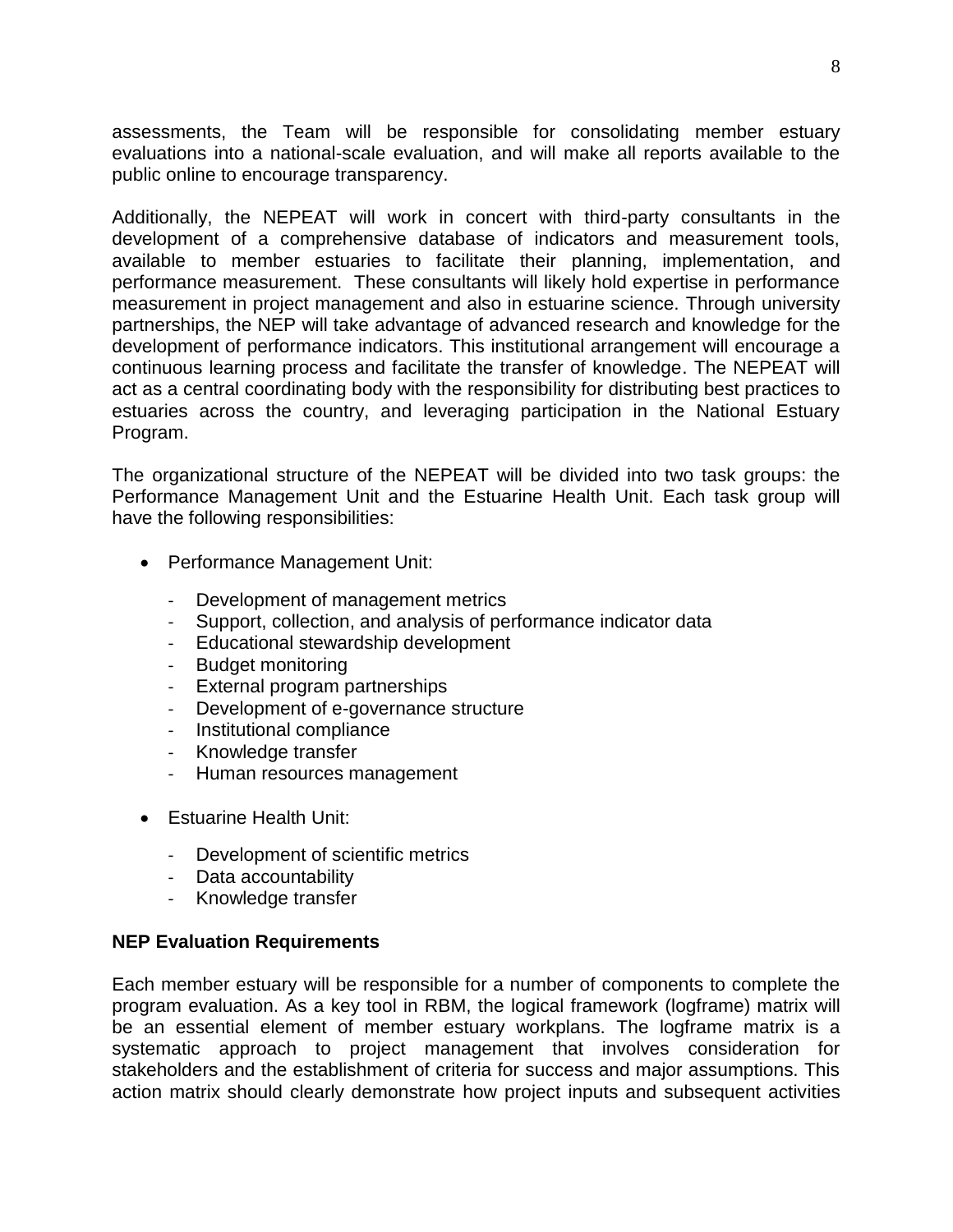assessments, the Team will be responsible for consolidating member estuary evaluations into a national-scale evaluation, and will make all reports available to the public online to encourage transparency.

Additionally, the NEPEAT will work in concert with third-party consultants in the development of a comprehensive database of indicators and measurement tools, available to member estuaries to facilitate their planning, implementation, and performance measurement. These consultants will likely hold expertise in performance measurement in project management and also in estuarine science. Through university partnerships, the NEP will take advantage of advanced research and knowledge for the development of performance indicators. This institutional arrangement will encourage a continuous learning process and facilitate the transfer of knowledge. The NEPEAT will act as a central coordinating body with the responsibility for distributing best practices to estuaries across the country, and leveraging participation in the National Estuary Program.

The organizational structure of the NEPEAT will be divided into two task groups: the Performance Management Unit and the Estuarine Health Unit. Each task group will have the following responsibilities:

- Performance Management Unit:
	- Development of management metrics
	- Support, collection, and analysis of performance indicator data
	- Educational stewardship development
	- Budget monitoring
	- External program partnerships
	- Development of e-governance structure
	- Institutional compliance
	- Knowledge transfer
	- Human resources management
- **•** Estuarine Health Unit:
	- Development of scientific metrics
	- Data accountability
	- Knowledge transfer

# **NEP Evaluation Requirements**

Each member estuary will be responsible for a number of components to complete the program evaluation. As a key tool in RBM, the logical framework (logframe) matrix will be an essential element of member estuary workplans. The logframe matrix is a systematic approach to project management that involves consideration for stakeholders and the establishment of criteria for success and major assumptions. This action matrix should clearly demonstrate how project inputs and subsequent activities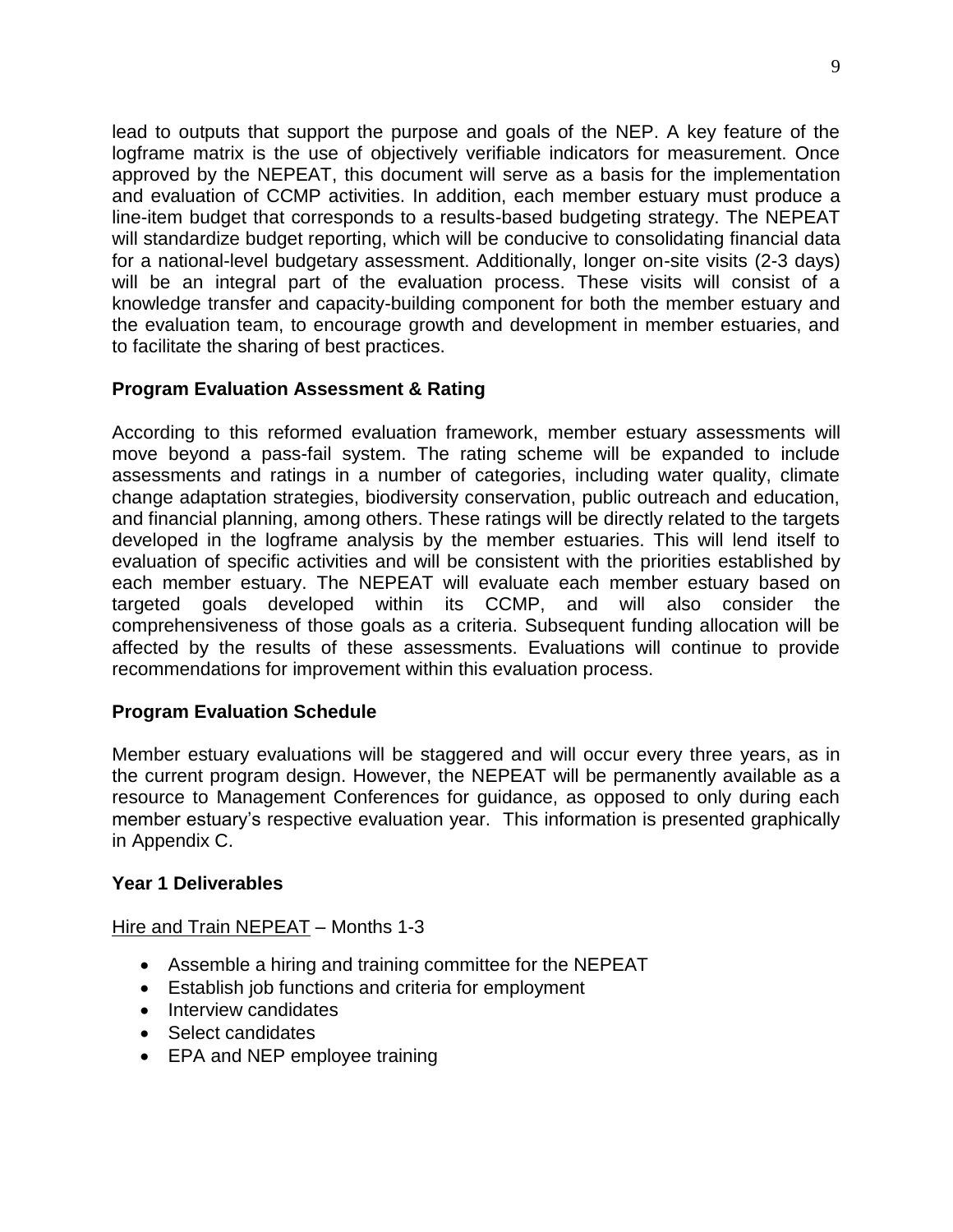lead to outputs that support the purpose and goals of the NEP. A key feature of the logframe matrix is the use of objectively verifiable indicators for measurement. Once approved by the NEPEAT, this document will serve as a basis for the implementation and evaluation of CCMP activities. In addition, each member estuary must produce a line-item budget that corresponds to a results-based budgeting strategy. The NEPEAT will standardize budget reporting, which will be conducive to consolidating financial data for a national-level budgetary assessment. Additionally, longer on-site visits (2-3 days) will be an integral part of the evaluation process. These visits will consist of a knowledge transfer and capacity-building component for both the member estuary and the evaluation team, to encourage growth and development in member estuaries, and to facilitate the sharing of best practices.

# **Program Evaluation Assessment & Rating**

According to this reformed evaluation framework, member estuary assessments will move beyond a pass-fail system. The rating scheme will be expanded to include assessments and ratings in a number of categories, including water quality, climate change adaptation strategies, biodiversity conservation, public outreach and education, and financial planning, among others. These ratings will be directly related to the targets developed in the logframe analysis by the member estuaries. This will lend itself to evaluation of specific activities and will be consistent with the priorities established by each member estuary. The NEPEAT will evaluate each member estuary based on targeted goals developed within its CCMP, and will also consider the comprehensiveness of those goals as a criteria. Subsequent funding allocation will be affected by the results of these assessments. Evaluations will continue to provide recommendations for improvement within this evaluation process.

# **Program Evaluation Schedule**

Member estuary evaluations will be staggered and will occur every three years, as in the current program design. However, the NEPEAT will be permanently available as a resource to Management Conferences for guidance, as opposed to only during each member estuary's respective evaluation year. This information is presented graphically in Appendix C.

# **Year 1 Deliverables**

Hire and Train NEPEAT – Months 1-3

- Assemble a hiring and training committee for the NEPEAT
- Establish job functions and criteria for employment
- Interview candidates
- Select candidates
- EPA and NEP employee training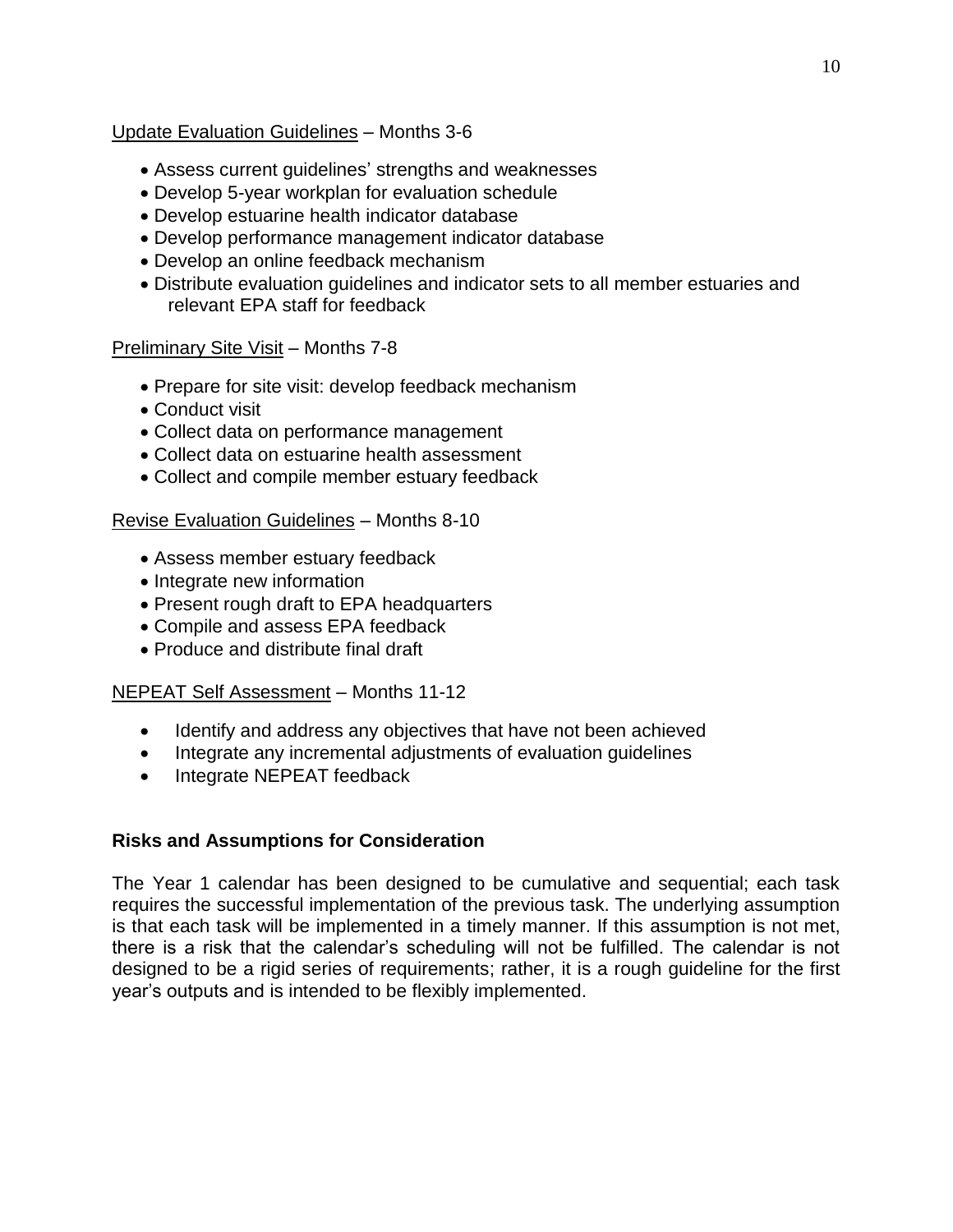# Update Evaluation Guidelines – Months 3-6

- Assess current guidelines' strengths and weaknesses
- Develop 5-year workplan for evaluation schedule
- Develop estuarine health indicator database
- Develop performance management indicator database
- Develop an online feedback mechanism
- Distribute evaluation guidelines and indicator sets to all member estuaries and relevant EPA staff for feedback

# Preliminary Site Visit – Months 7-8

- Prepare for site visit: develop feedback mechanism
- Conduct visit
- Collect data on performance management
- Collect data on estuarine health assessment
- Collect and compile member estuary feedback

# Revise Evaluation Guidelines – Months 8-10

- Assess member estuary feedback
- Integrate new information
- Present rough draft to EPA headquarters
- Compile and assess EPA feedback
- Produce and distribute final draft

# NEPEAT Self Assessment – Months 11-12

- Identify and address any objectives that have not been achieved
- Integrate any incremental adjustments of evaluation quidelines
- Integrate NEPEAT feedback

# **Risks and Assumptions for Consideration**

The Year 1 calendar has been designed to be cumulative and sequential; each task requires the successful implementation of the previous task. The underlying assumption is that each task will be implemented in a timely manner. If this assumption is not met, there is a risk that the calendar's scheduling will not be fulfilled. The calendar is not designed to be a rigid series of requirements; rather, it is a rough guideline for the first year's outputs and is intended to be flexibly implemented.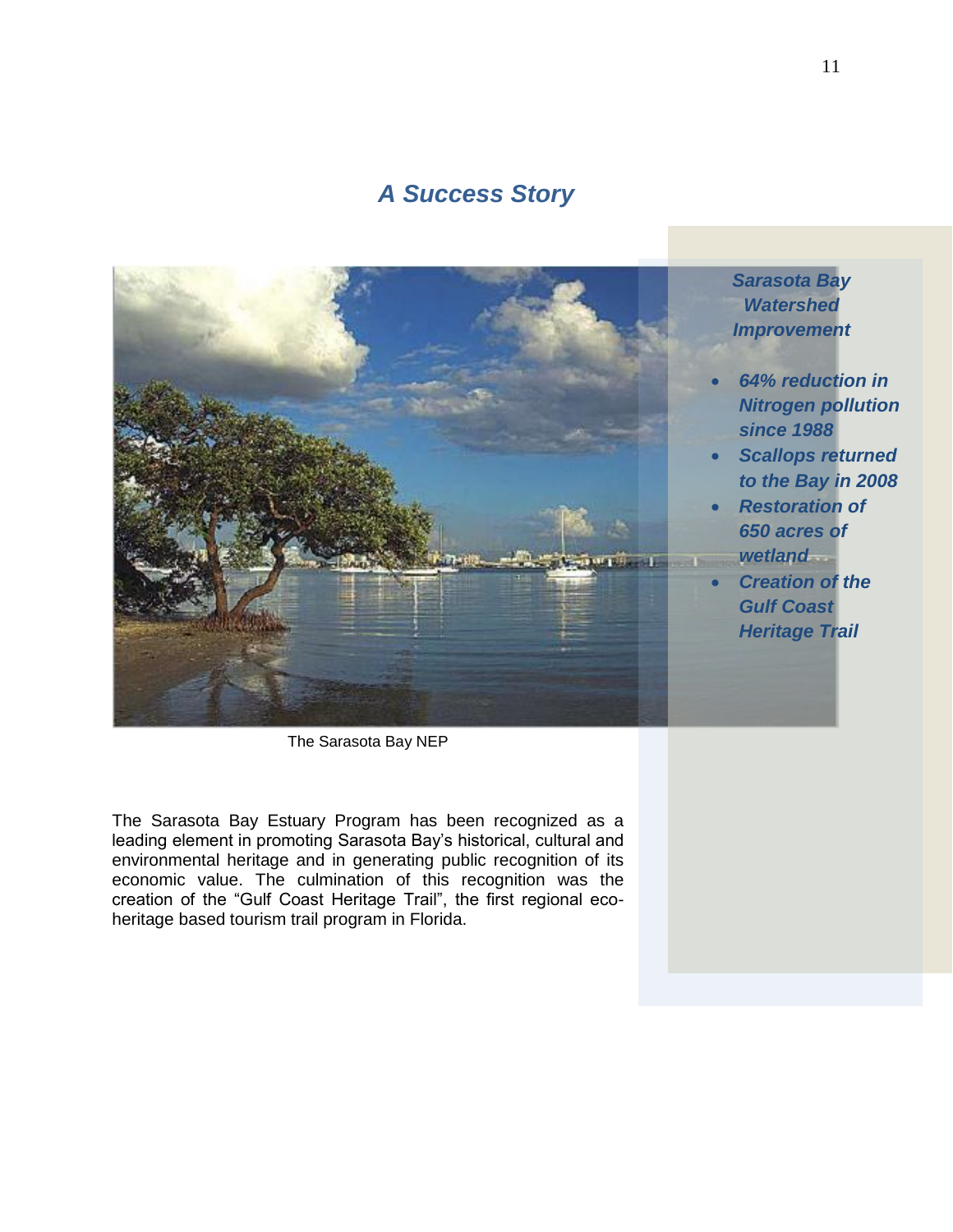# *A Success Story*



The Sarasota Bay NEP

The Sarasota Bay Estuary Program has been recognized as a leading element in promoting Sarasota Bay's historical, cultural and environmental heritage and in generating public recognition of its economic value. The culmination of this recognition was the creation of the "Gulf Coast Heritage Trail", the first regional ecoheritage based tourism trail program in Florida.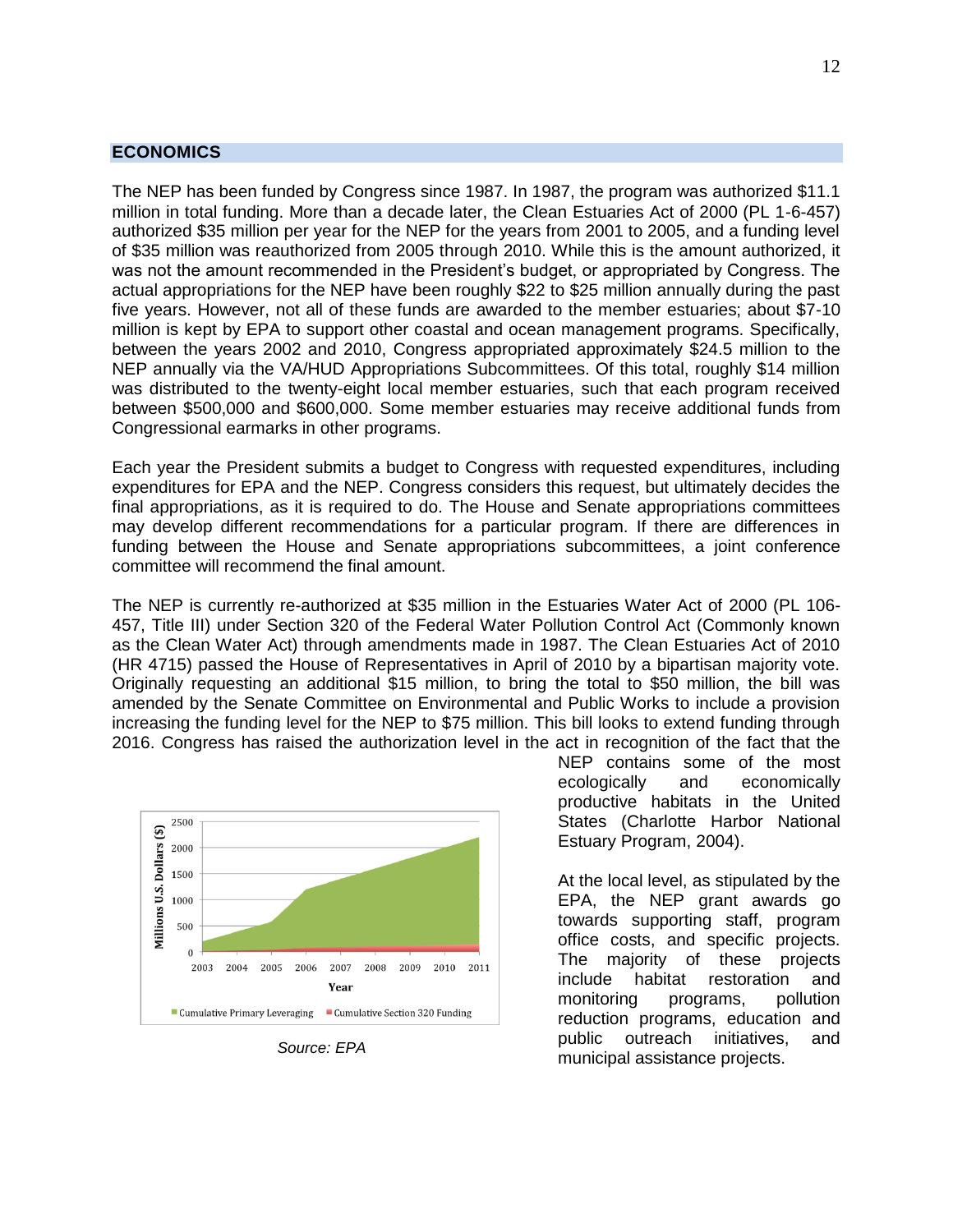#### <span id="page-13-0"></span>**ECONOMICS**

The NEP has been funded by Congress since 1987. In 1987, the program was authorized \$11.1 million in total funding. More than a decade later, the Clean Estuaries Act of 2000 (PL 1-6-457) authorized \$35 million per year for the NEP for the years from 2001 to 2005, and a funding level of \$35 million was reauthorized from 2005 through 2010. While this is the amount authorized, it was not the amount recommended in the President's budget, or appropriated by Congress. The actual appropriations for the NEP have been roughly \$22 to \$25 million annually during the past five years. However, not all of these funds are awarded to the member estuaries; about \$7-10 million is kept by EPA to support other coastal and ocean management programs. Specifically, between the years 2002 and 2010, Congress appropriated approximately \$24.5 million to the NEP annually via the VA/HUD Appropriations Subcommittees. Of this total, roughly \$14 million was distributed to the twenty-eight local member estuaries, such that each program received between \$500,000 and \$600,000. Some member estuaries may receive additional funds from Congressional earmarks in other programs.

Each year the President submits a budget to Congress with requested expenditures, including expenditures for EPA and the NEP. Congress considers this request, but ultimately decides the final appropriations, as it is required to do. The House and Senate appropriations committees may develop different recommendations for a particular program. If there are differences in funding between the House and Senate appropriations subcommittees, a joint conference committee will recommend the final amount.

The NEP is currently re-authorized at \$35 million in the Estuaries Water Act of 2000 (PL 106- 457, Title III) under Section 320 of the Federal Water Pollution Control Act (Commonly known as the Clean Water Act) through amendments made in 1987. The Clean Estuaries Act of 2010 (HR 4715) passed the House of Representatives in April of 2010 by a bipartisan majority vote. Originally requesting an additional \$15 million, to bring the total to \$50 million, the bill was amended by the Senate Committee on Environmental and Public Works to include a provision increasing the funding level for the NEP to \$75 million. This bill looks to extend funding through 2016. Congress has raised the authorization level in the act in recognition of the fact that the



NEP contains some of the most ecologically and economically productive habitats in the United States (Charlotte Harbor National Estuary Program, 2004).

At the local level, as stipulated by the EPA, the NEP grant awards go towards supporting staff, program office costs, and specific projects. The majority of these projects include habitat restoration and monitoring programs, pollution reduction programs, education and public outreach initiatives, and municipal assistance projects. *Source: EPA*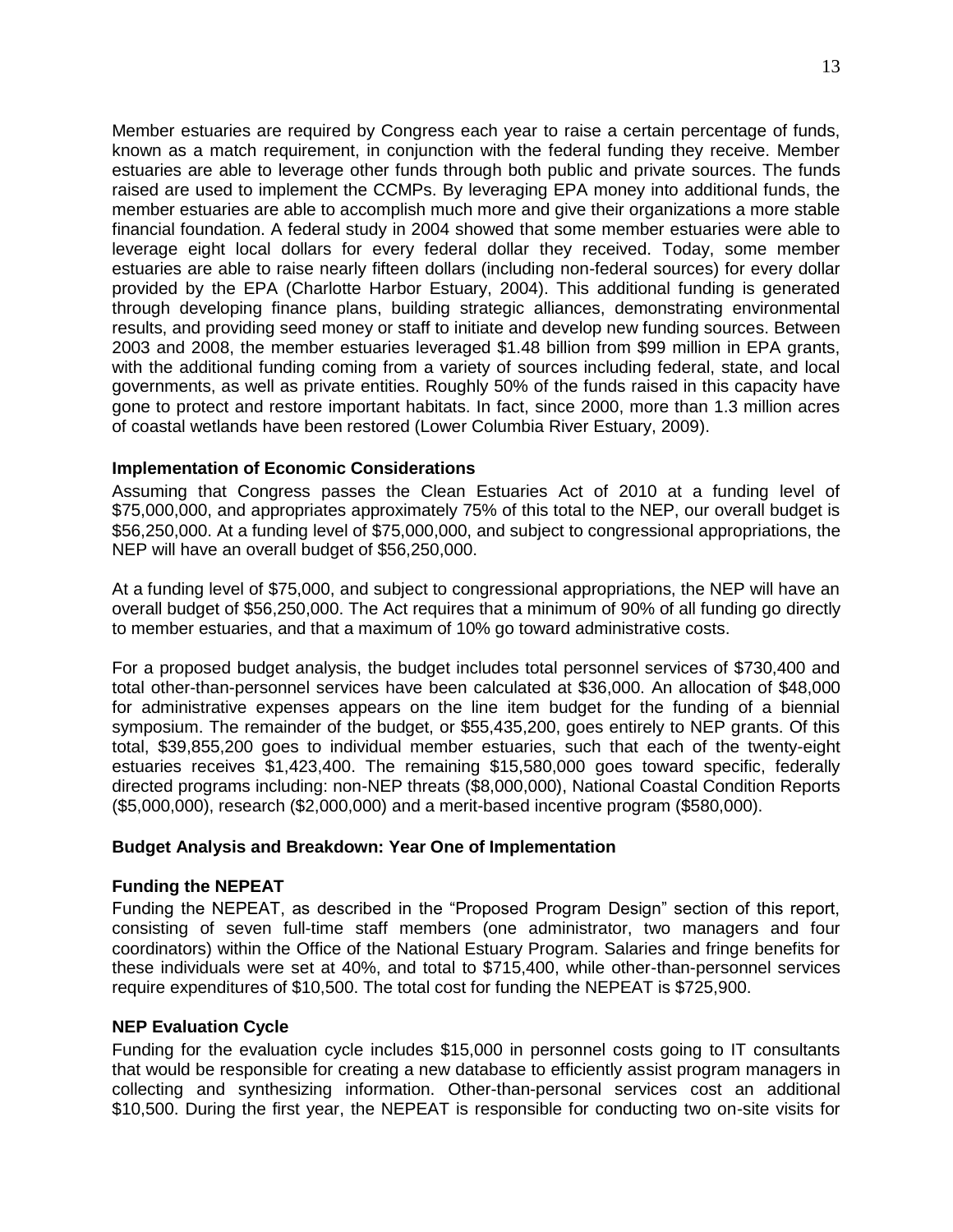Member estuaries are required by Congress each year to raise a certain percentage of funds, known as a match requirement, in conjunction with the federal funding they receive. Member estuaries are able to leverage other funds through both public and private sources. The funds raised are used to implement the CCMPs. By leveraging EPA money into additional funds, the member estuaries are able to accomplish much more and give their organizations a more stable financial foundation. A federal study in 2004 showed that some member estuaries were able to leverage eight local dollars for every federal dollar they received. Today, some member estuaries are able to raise nearly fifteen dollars (including non-federal sources) for every dollar provided by the EPA (Charlotte Harbor Estuary, 2004). This additional funding is generated through developing finance plans, building strategic alliances, demonstrating environmental results, and providing seed money or staff to initiate and develop new funding sources. Between 2003 and 2008, the member estuaries leveraged \$1.48 billion from \$99 million in EPA grants, with the additional funding coming from a variety of sources including federal, state, and local governments, as well as private entities. Roughly 50% of the funds raised in this capacity have gone to protect and restore important habitats. In fact, since 2000, more than 1.3 million acres of coastal wetlands have been restored (Lower Columbia River Estuary, 2009).

# **Implementation of Economic Considerations**

Assuming that Congress passes the Clean Estuaries Act of 2010 at a funding level of \$75,000,000, and appropriates approximately 75% of this total to the NEP, our overall budget is \$56,250,000. At a funding level of \$75,000,000, and subject to congressional appropriations, the NEP will have an overall budget of \$56,250,000.

At a funding level of \$75,000, and subject to congressional appropriations, the NEP will have an overall budget of \$56,250,000. The Act requires that a minimum of 90% of all funding go directly to member estuaries, and that a maximum of 10% go toward administrative costs.

For a proposed budget analysis, the budget includes total personnel services of \$730,400 and total other-than-personnel services have been calculated at \$36,000. An allocation of \$48,000 for administrative expenses appears on the line item budget for the funding of a biennial symposium. The remainder of the budget, or \$55,435,200, goes entirely to NEP grants. Of this total, \$39,855,200 goes to individual member estuaries, such that each of the twenty-eight estuaries receives \$1,423,400. The remaining \$15,580,000 goes toward specific, federally directed programs including: non-NEP threats (\$8,000,000), National Coastal Condition Reports (\$5,000,000), research (\$2,000,000) and a merit-based incentive program (\$580,000).

# **Budget Analysis and Breakdown: Year One of Implementation**

# **Funding the NEPEAT**

Funding the NEPEAT, as described in the "Proposed Program Design" section of this report, consisting of seven full-time staff members (one administrator, two managers and four coordinators) within the Office of the National Estuary Program. Salaries and fringe benefits for these individuals were set at 40%, and total to \$715,400, while other-than-personnel services require expenditures of \$10,500. The total cost for funding the NEPEAT is \$725,900.

# **NEP Evaluation Cycle**

Funding for the evaluation cycle includes \$15,000 in personnel costs going to IT consultants that would be responsible for creating a new database to efficiently assist program managers in collecting and synthesizing information. Other-than-personal services cost an additional \$10,500. During the first year, the NEPEAT is responsible for conducting two on-site visits for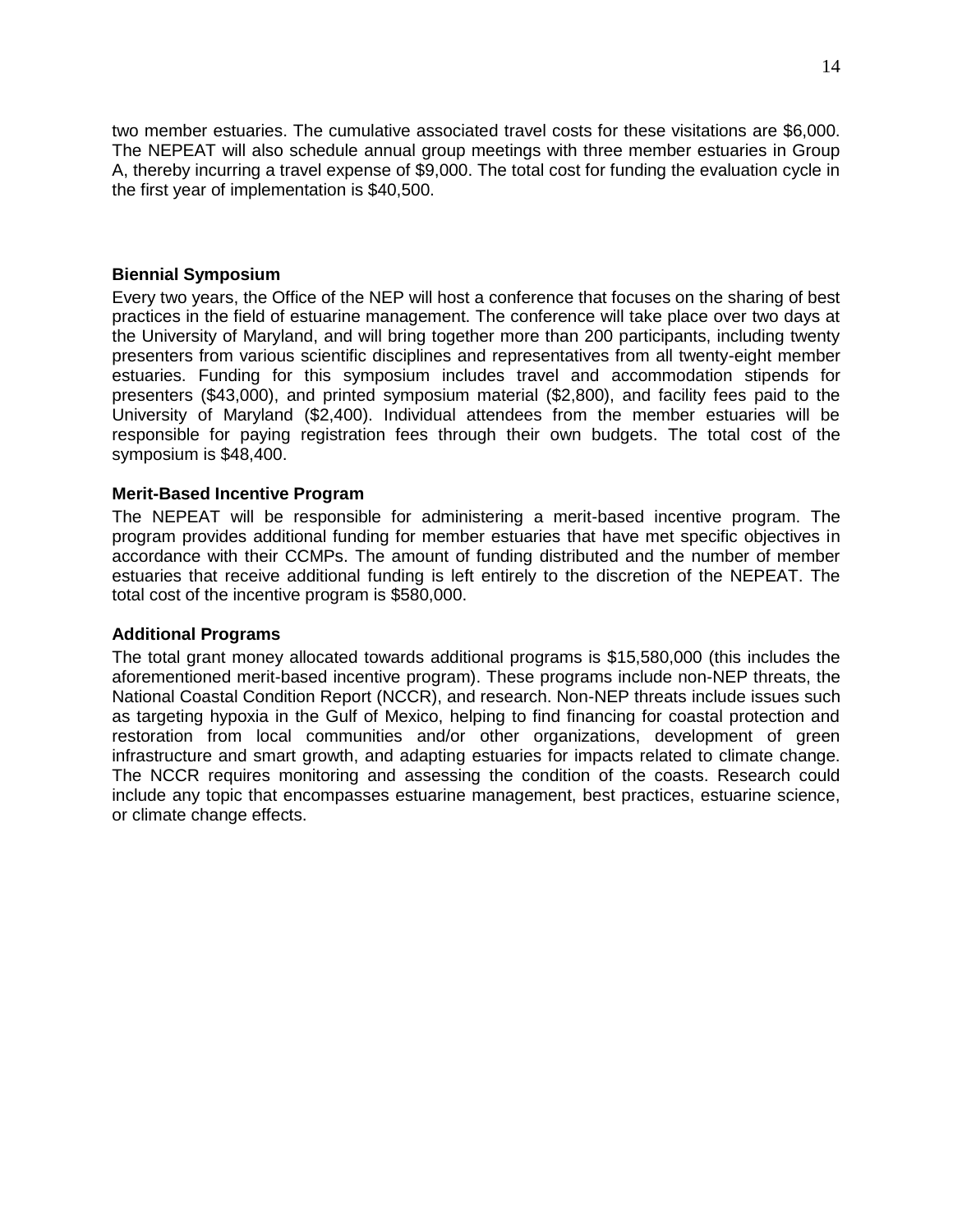two member estuaries. The cumulative associated travel costs for these visitations are \$6,000. The NEPEAT will also schedule annual group meetings with three member estuaries in Group A, thereby incurring a travel expense of \$9,000. The total cost for funding the evaluation cycle in the first year of implementation is \$40,500.

# **Biennial Symposium**

Every two years, the Office of the NEP will host a conference that focuses on the sharing of best practices in the field of estuarine management. The conference will take place over two days at the University of Maryland, and will bring together more than 200 participants, including twenty presenters from various scientific disciplines and representatives from all twenty-eight member estuaries. Funding for this symposium includes travel and accommodation stipends for presenters (\$43,000), and printed symposium material (\$2,800), and facility fees paid to the University of Maryland (\$2,400). Individual attendees from the member estuaries will be responsible for paying registration fees through their own budgets. The total cost of the symposium is \$48,400.

# **Merit-Based Incentive Program**

The NEPEAT will be responsible for administering a merit-based incentive program. The program provides additional funding for member estuaries that have met specific objectives in accordance with their CCMPs. The amount of funding distributed and the number of member estuaries that receive additional funding is left entirely to the discretion of the NEPEAT. The total cost of the incentive program is \$580,000.

# **Additional Programs**

The total grant money allocated towards additional programs is \$15,580,000 (this includes the aforementioned merit-based incentive program). These programs include non-NEP threats, the National Coastal Condition Report (NCCR), and research. Non-NEP threats include issues such as targeting hypoxia in the Gulf of Mexico, helping to find financing for coastal protection and restoration from local communities and/or other organizations, development of green infrastructure and smart growth, and adapting estuaries for impacts related to climate change. The NCCR requires monitoring and assessing the condition of the coasts. Research could include any topic that encompasses estuarine management, best practices, estuarine science, or climate change effects.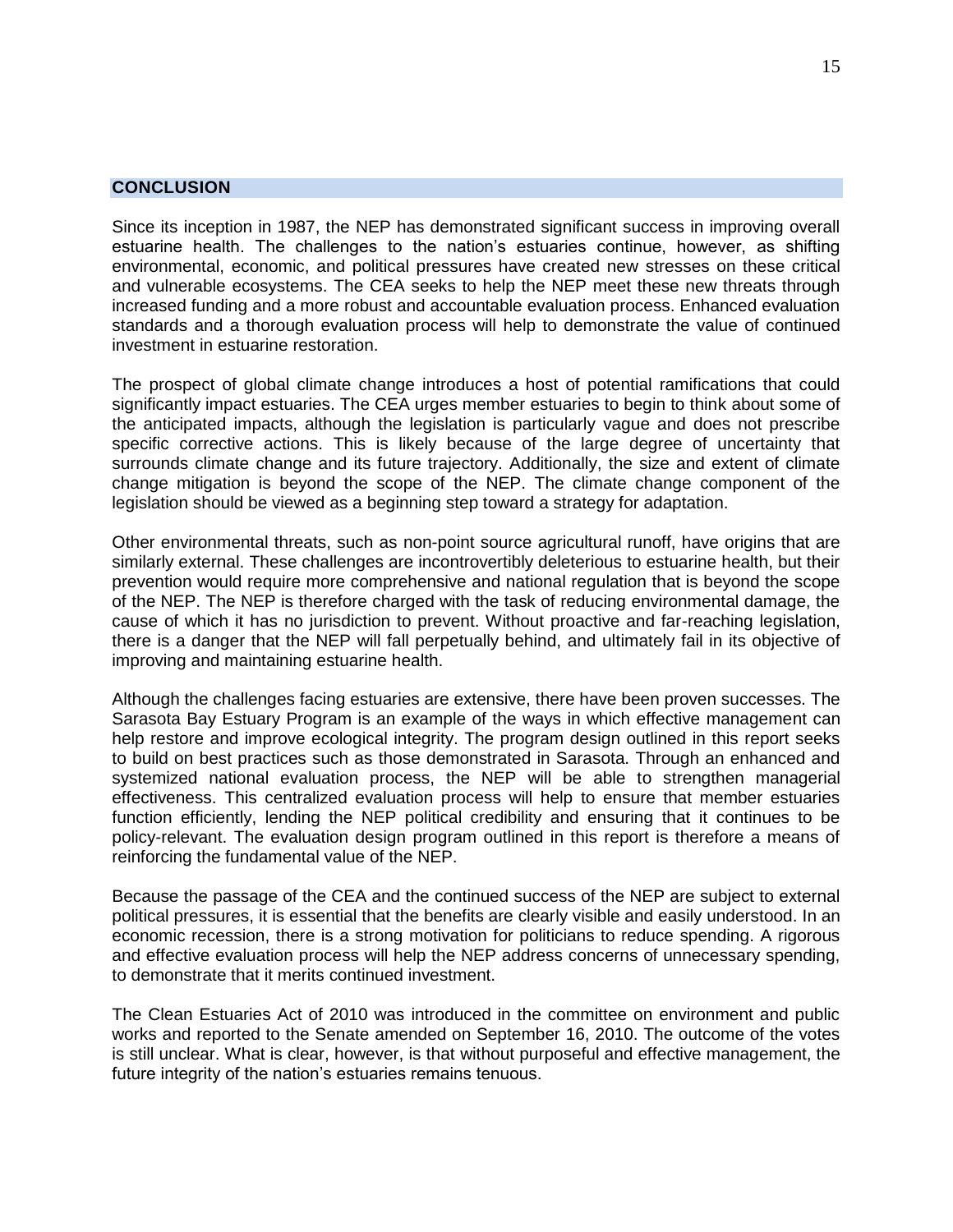# <span id="page-16-0"></span>**CONCLUSION**

Since its inception in 1987, the NEP has demonstrated significant success in improving overall estuarine health. The challenges to the nation's estuaries continue, however, as shifting environmental, economic, and political pressures have created new stresses on these critical and vulnerable ecosystems. The CEA seeks to help the NEP meet these new threats through increased funding and a more robust and accountable evaluation process. Enhanced evaluation standards and a thorough evaluation process will help to demonstrate the value of continued investment in estuarine restoration.

The prospect of global climate change introduces a host of potential ramifications that could significantly impact estuaries. The CEA urges member estuaries to begin to think about some of the anticipated impacts, although the legislation is particularly vague and does not prescribe specific corrective actions. This is likely because of the large degree of uncertainty that surrounds climate change and its future trajectory. Additionally, the size and extent of climate change mitigation is beyond the scope of the NEP. The climate change component of the legislation should be viewed as a beginning step toward a strategy for adaptation.

Other environmental threats, such as non-point source agricultural runoff, have origins that are similarly external. These challenges are incontrovertibly deleterious to estuarine health, but their prevention would require more comprehensive and national regulation that is beyond the scope of the NEP. The NEP is therefore charged with the task of reducing environmental damage, the cause of which it has no jurisdiction to prevent. Without proactive and far-reaching legislation, there is a danger that the NEP will fall perpetually behind, and ultimately fail in its objective of improving and maintaining estuarine health.

Although the challenges facing estuaries are extensive, there have been proven successes. The Sarasota Bay Estuary Program is an example of the ways in which effective management can help restore and improve ecological integrity. The program design outlined in this report seeks to build on best practices such as those demonstrated in Sarasota. Through an enhanced and systemized national evaluation process, the NEP will be able to strengthen managerial effectiveness. This centralized evaluation process will help to ensure that member estuaries function efficiently, lending the NEP political credibility and ensuring that it continues to be policy-relevant. The evaluation design program outlined in this report is therefore a means of reinforcing the fundamental value of the NEP.

Because the passage of the CEA and the continued success of the NEP are subject to external political pressures, it is essential that the benefits are clearly visible and easily understood. In an economic recession, there is a strong motivation for politicians to reduce spending. A rigorous and effective evaluation process will help the NEP address concerns of unnecessary spending, to demonstrate that it merits continued investment.

The Clean Estuaries Act of 2010 was introduced in the committee on environment and public works and reported to the Senate amended on September 16, 2010. The outcome of the votes is still unclear. What is clear, however, is that without purposeful and effective management, the future integrity of the nation's estuaries remains tenuous.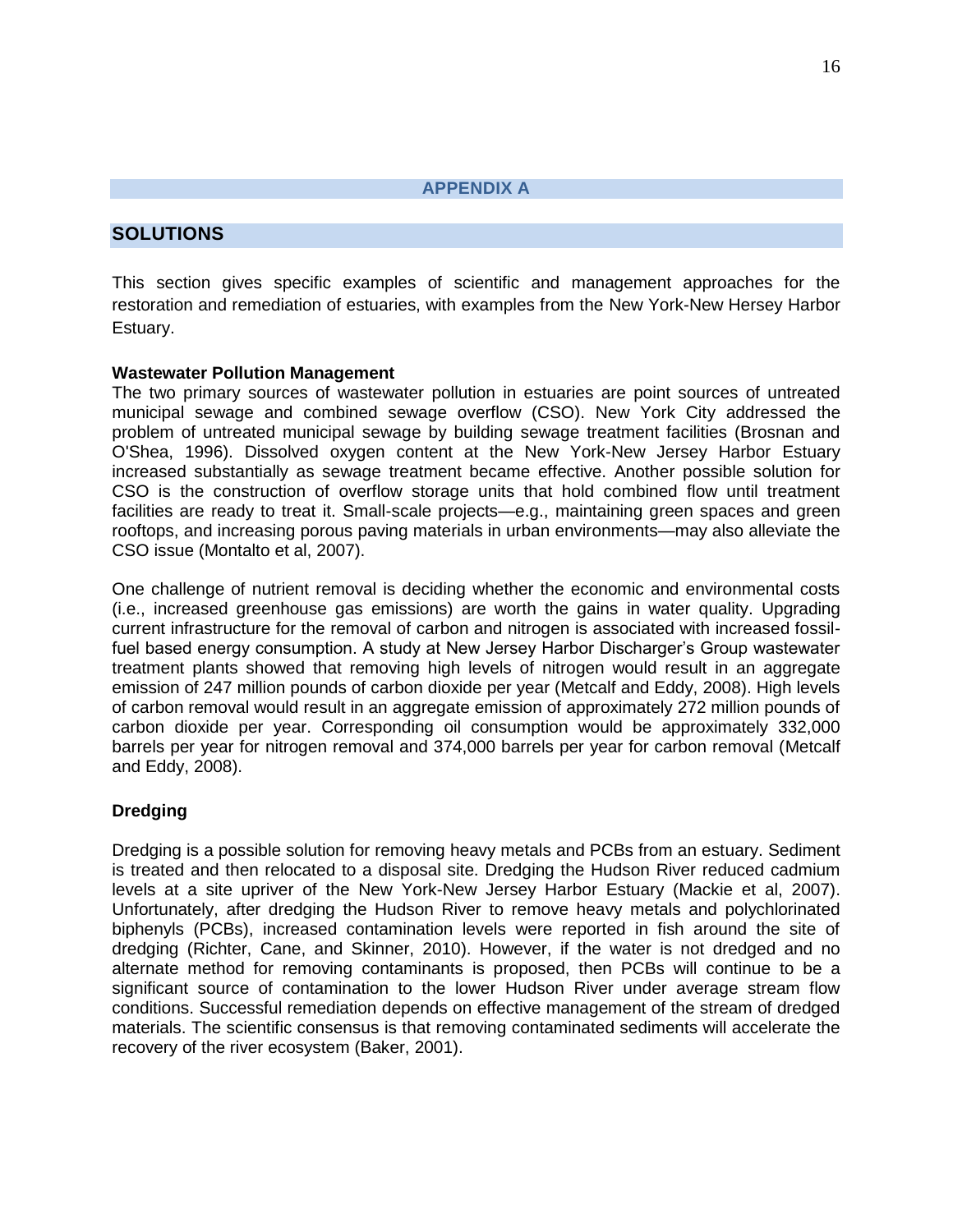**APPENDIX A**

# <span id="page-17-0"></span>**SOLUTIONS**

This section gives specific examples of scientific and management approaches for the restoration and remediation of estuaries, with examples from the New York-New Hersey Harbor Estuary.

# **Wastewater Pollution Management**

The two primary sources of wastewater pollution in estuaries are point sources of untreated municipal sewage and combined sewage overflow (CSO). New York City addressed the problem of untreated municipal sewage by building sewage treatment facilities (Brosnan and O'Shea, 1996). Dissolved oxygen content at the New York-New Jersey Harbor Estuary increased substantially as sewage treatment became effective. Another possible solution for CSO is the construction of overflow storage units that hold combined flow until treatment facilities are ready to treat it. Small-scale projects—e.g., maintaining green spaces and green rooftops, and increasing porous paving materials in urban environments—may also alleviate the CSO issue (Montalto et al, 2007).

One challenge of nutrient removal is deciding whether the economic and environmental costs (i.e., increased greenhouse gas emissions) are worth the gains in water quality. Upgrading current infrastructure for the removal of carbon and nitrogen is associated with increased fossilfuel based energy consumption. A study at New Jersey Harbor Discharger's Group wastewater treatment plants showed that removing high levels of nitrogen would result in an aggregate emission of 247 million pounds of carbon dioxide per year (Metcalf and Eddy, 2008). High levels of carbon removal would result in an aggregate emission of approximately 272 million pounds of carbon dioxide per year. Corresponding oil consumption would be approximately 332,000 barrels per year for nitrogen removal and 374,000 barrels per year for carbon removal (Metcalf and Eddy, 2008).

# **Dredging**

Dredging is a possible solution for removing heavy metals and PCBs from an estuary. Sediment is treated and then relocated to a disposal site. Dredging the Hudson River reduced cadmium levels at a site upriver of the New York-New Jersey Harbor Estuary (Mackie et al, 2007). Unfortunately, after dredging the Hudson River to remove heavy metals and polychlorinated biphenyls (PCBs), increased contamination levels were reported in fish around the site of dredging (Richter, Cane, and Skinner, 2010). However, if the water is not dredged and no alternate method for removing contaminants is proposed, then PCBs will continue to be a significant source of contamination to the lower Hudson River under average stream flow conditions. Successful remediation depends on effective management of the stream of dredged materials. The scientific consensus is that removing contaminated sediments will accelerate the recovery of the river ecosystem (Baker, 2001).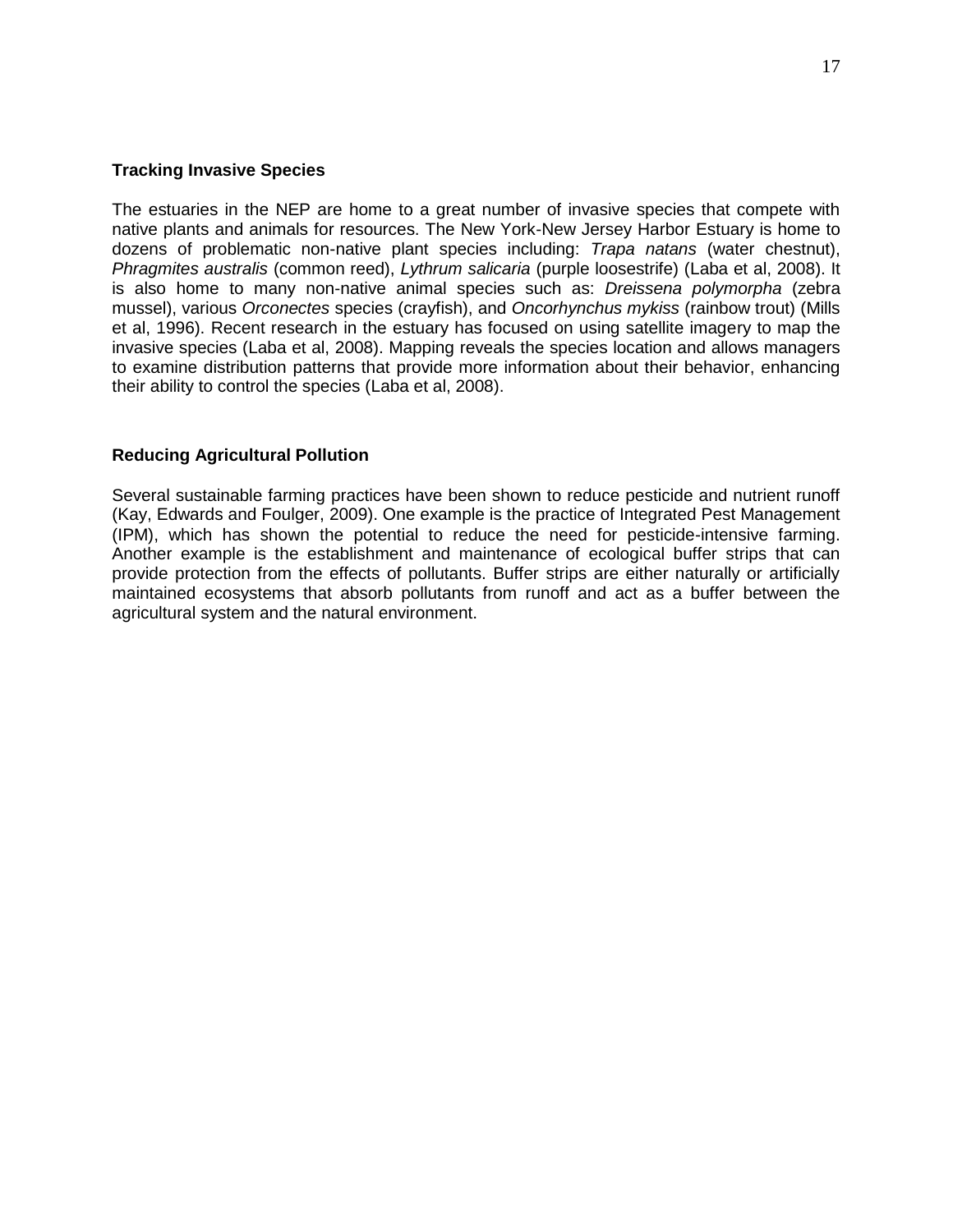#### **Tracking Invasive Species**

The estuaries in the NEP are home to a great number of invasive species that compete with native plants and animals for resources. The New York-New Jersey Harbor Estuary is home to dozens of problematic non-native plant species including: *Trapa natans* (water chestnut), *Phragmites australis* (common reed), *Lythrum salicaria* (purple loosestrife) (Laba et al, 2008). It is also home to many non-native animal species such as: *Dreissena polymorpha* (zebra mussel), various *Orconectes* species (crayfish), and *Oncorhynchus mykiss* (rainbow trout) (Mills et al, 1996). Recent research in the estuary has focused on using satellite imagery to map the invasive species (Laba et al, 2008). Mapping reveals the species location and allows managers to examine distribution patterns that provide more information about their behavior, enhancing their ability to control the species (Laba et al, 2008).

# **Reducing Agricultural Pollution**

Several sustainable farming practices have been shown to reduce pesticide and nutrient runoff (Kay, Edwards and Foulger, 2009). One example is the practice of Integrated Pest Management (IPM), which has shown the potential to reduce the need for pesticide-intensive farming. Another example is the establishment and maintenance of ecological buffer strips that can provide protection from the effects of pollutants. Buffer strips are either naturally or artificially maintained ecosystems that absorb pollutants from runoff and act as a buffer between the agricultural system and the natural environment.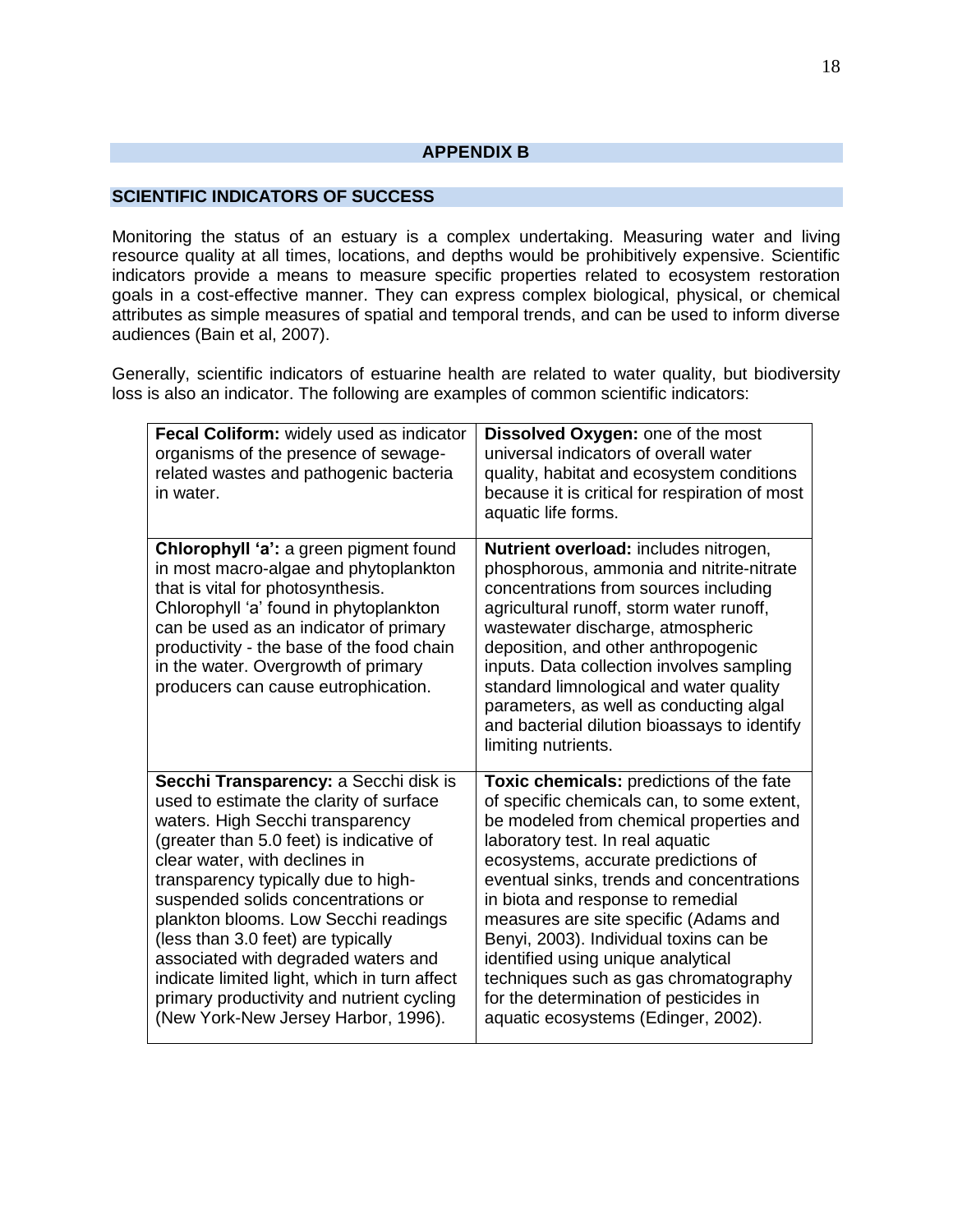#### **APPENDIX B**

# <span id="page-19-0"></span>**SCIENTIFIC INDICATORS OF SUCCESS**

Monitoring the status of an estuary is a complex undertaking. Measuring water and living resource quality at all times, locations, and depths would be prohibitively expensive. Scientific indicators provide a means to measure specific properties related to ecosystem restoration goals in a cost-effective manner. They can express complex biological, physical, or chemical attributes as simple measures of spatial and temporal trends, and can be used to inform diverse audiences (Bain et al, 2007).

Generally, scientific indicators of estuarine health are related to water quality, but biodiversity loss is also an indicator. The following are examples of common scientific indicators:

| Fecal Coliform: widely used as indicator<br>organisms of the presence of sewage-<br>related wastes and pathogenic bacteria<br>in water.                                                                                                                                                                                                                                                                                                                                                                                                 | <b>Dissolved Oxygen: one of the most</b><br>universal indicators of overall water<br>quality, habitat and ecosystem conditions<br>because it is critical for respiration of most<br>aquatic life forms.                                                                                                                                                                                                                                                                                                                                           |
|-----------------------------------------------------------------------------------------------------------------------------------------------------------------------------------------------------------------------------------------------------------------------------------------------------------------------------------------------------------------------------------------------------------------------------------------------------------------------------------------------------------------------------------------|---------------------------------------------------------------------------------------------------------------------------------------------------------------------------------------------------------------------------------------------------------------------------------------------------------------------------------------------------------------------------------------------------------------------------------------------------------------------------------------------------------------------------------------------------|
| Chlorophyll 'a': a green pigment found<br>in most macro-algae and phytoplankton<br>that is vital for photosynthesis.<br>Chlorophyll 'a' found in phytoplankton<br>can be used as an indicator of primary<br>productivity - the base of the food chain<br>in the water. Overgrowth of primary<br>producers can cause eutrophication.                                                                                                                                                                                                     | Nutrient overload: includes nitrogen,<br>phosphorous, ammonia and nitrite-nitrate<br>concentrations from sources including<br>agricultural runoff, storm water runoff,<br>wastewater discharge, atmospheric<br>deposition, and other anthropogenic<br>inputs. Data collection involves sampling<br>standard limnological and water quality<br>parameters, as well as conducting algal<br>and bacterial dilution bioassays to identify<br>limiting nutrients.                                                                                      |
| Secchi Transparency: a Secchi disk is<br>used to estimate the clarity of surface<br>waters. High Secchi transparency<br>(greater than 5.0 feet) is indicative of<br>clear water, with declines in<br>transparency typically due to high-<br>suspended solids concentrations or<br>plankton blooms. Low Secchi readings<br>(less than 3.0 feet) are typically<br>associated with degraded waters and<br>indicate limited light, which in turn affect<br>primary productivity and nutrient cycling<br>(New York-New Jersey Harbor, 1996). | Toxic chemicals: predictions of the fate<br>of specific chemicals can, to some extent,<br>be modeled from chemical properties and<br>laboratory test. In real aquatic<br>ecosystems, accurate predictions of<br>eventual sinks, trends and concentrations<br>in biota and response to remedial<br>measures are site specific (Adams and<br>Benyi, 2003). Individual toxins can be<br>identified using unique analytical<br>techniques such as gas chromatography<br>for the determination of pesticides in<br>aquatic ecosystems (Edinger, 2002). |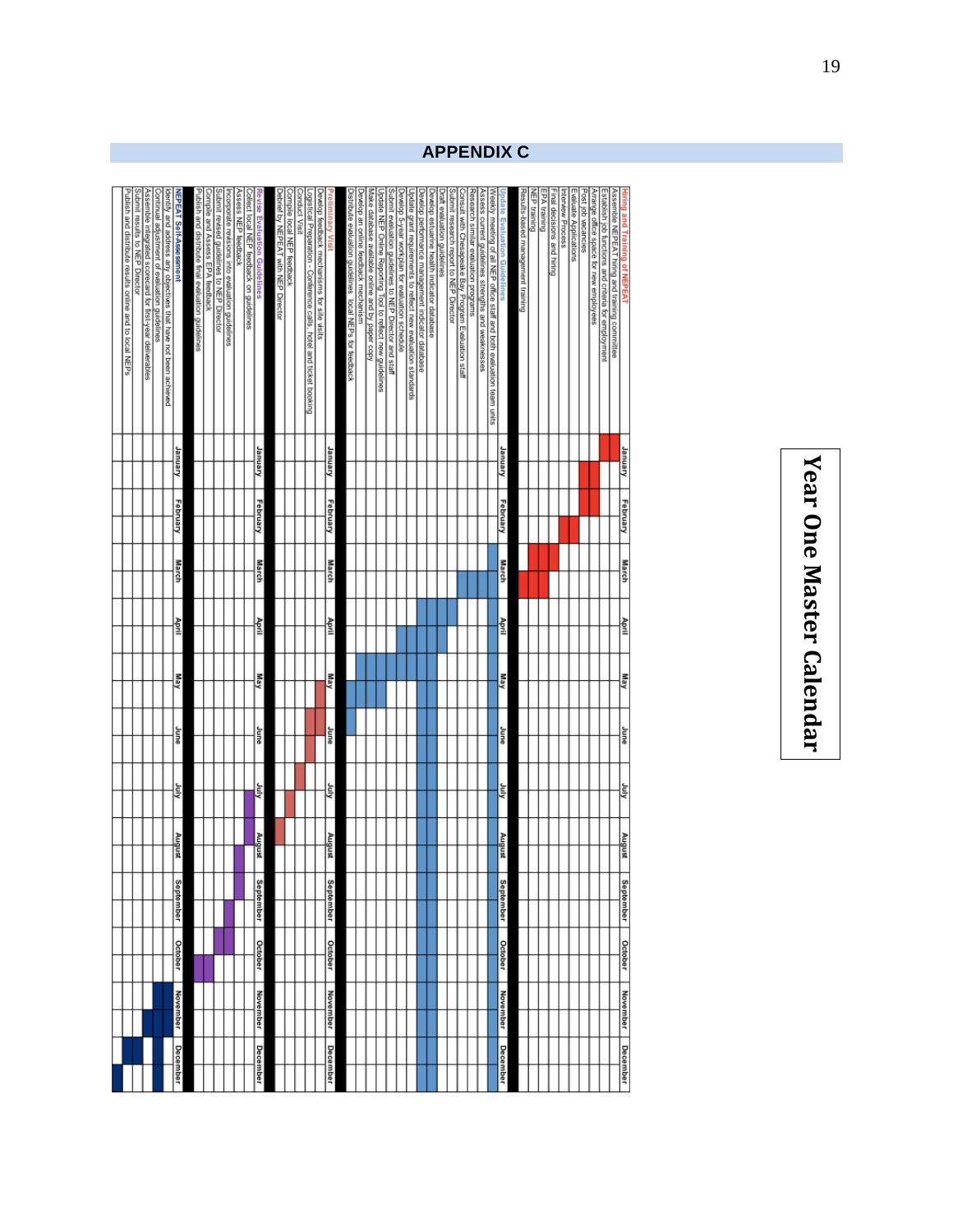# Year One Master Calendar **Year One Master Calendar**

<span id="page-20-0"></span>

| Publish and distribute results online and to local NEPs<br>Submit results to NEP Director<br>Assemble integrated scorecard for first-year deliverables<br>Identify and address any objectives that have not been achieved<br>NEPEAT Self-Assessment<br>Continual adjustment of evaluation guidelines<br>January<br>February | Publish and distribute final evaluation guidelines<br>Submit revised guidelines to NEP Director<br>Compile and Assess EPA feedback<br>Assess NEP feedback<br>incorporate revisions into evaluation guidelines<br>Revise Evaluation Guidelines<br>Collect local NEP feedback on guidelines<br>January<br>February | Debrief by NEPEAT with NEP Director<br>Compile local NEP feedback<br>Logistical Preparation - Conference calls, hotel and ticket booking<br>Develop feedback mechanisms for site visits<br>January<br>February | Submit evaluation guidelines to NEP Director and staff<br>Distribute evaluation guidelines local NEPs for feedback<br>Develop an online feedback mechanism<br>Make database available online and by paper copy<br>Develop 5-year workplan for evaluation schedule<br>Develop performance management indicator database<br>Develop estuarine health indicator database<br>Update grant requirements to reflect new evaluation standards<br>Jpdate NEP Online Reporting Tool to reflect new guidelines | Submit research report to NEP Director<br>Weekly meeting of all NEP office staff and both evaluation team units<br>Draft evaluation guidelines<br>Assess current guidelines strengths and weaknesses<br>Consult with Chesapeake Bay Program Evaluation staff<br>Research similar evaluation programs<br>pdate Evaluation Guidelines<br>January<br>February | Results-based management training<br>Evaluate Applications<br>Post job vacancies<br>Arrange office space for new employees<br>Establish job functions and criteria for employment<br>Assemble NEPEAT himg and training committee<br>Final decisions and hiring |
|-----------------------------------------------------------------------------------------------------------------------------------------------------------------------------------------------------------------------------------------------------------------------------------------------------------------------------|------------------------------------------------------------------------------------------------------------------------------------------------------------------------------------------------------------------------------------------------------------------------------------------------------------------|----------------------------------------------------------------------------------------------------------------------------------------------------------------------------------------------------------------|------------------------------------------------------------------------------------------------------------------------------------------------------------------------------------------------------------------------------------------------------------------------------------------------------------------------------------------------------------------------------------------------------------------------------------------------------------------------------------------------------|------------------------------------------------------------------------------------------------------------------------------------------------------------------------------------------------------------------------------------------------------------------------------------------------------------------------------------------------------------|----------------------------------------------------------------------------------------------------------------------------------------------------------------------------------------------------------------------------------------------------------------|
| March                                                                                                                                                                                                                                                                                                                       | <b>March</b>                                                                                                                                                                                                                                                                                                     | <b>March</b>                                                                                                                                                                                                   |                                                                                                                                                                                                                                                                                                                                                                                                                                                                                                      | March                                                                                                                                                                                                                                                                                                                                                      |                                                                                                                                                                                                                                                                |
| April                                                                                                                                                                                                                                                                                                                       | April                                                                                                                                                                                                                                                                                                            | April                                                                                                                                                                                                          |                                                                                                                                                                                                                                                                                                                                                                                                                                                                                                      | April                                                                                                                                                                                                                                                                                                                                                      |                                                                                                                                                                                                                                                                |
| May                                                                                                                                                                                                                                                                                                                         | May                                                                                                                                                                                                                                                                                                              | kew                                                                                                                                                                                                            |                                                                                                                                                                                                                                                                                                                                                                                                                                                                                                      | kew                                                                                                                                                                                                                                                                                                                                                        |                                                                                                                                                                                                                                                                |
| anne                                                                                                                                                                                                                                                                                                                        | June                                                                                                                                                                                                                                                                                                             | anne                                                                                                                                                                                                           |                                                                                                                                                                                                                                                                                                                                                                                                                                                                                                      | June                                                                                                                                                                                                                                                                                                                                                       |                                                                                                                                                                                                                                                                |
| kiuly                                                                                                                                                                                                                                                                                                                       | χ                                                                                                                                                                                                                                                                                                                | klul                                                                                                                                                                                                           |                                                                                                                                                                                                                                                                                                                                                                                                                                                                                                      | Amp                                                                                                                                                                                                                                                                                                                                                        |                                                                                                                                                                                                                                                                |
| August                                                                                                                                                                                                                                                                                                                      | August                                                                                                                                                                                                                                                                                                           | August                                                                                                                                                                                                         |                                                                                                                                                                                                                                                                                                                                                                                                                                                                                                      | August                                                                                                                                                                                                                                                                                                                                                     |                                                                                                                                                                                                                                                                |
| September                                                                                                                                                                                                                                                                                                                   | eptember                                                                                                                                                                                                                                                                                                         | <b>September</b>                                                                                                                                                                                               |                                                                                                                                                                                                                                                                                                                                                                                                                                                                                                      | September                                                                                                                                                                                                                                                                                                                                                  |                                                                                                                                                                                                                                                                |
| October                                                                                                                                                                                                                                                                                                                     | <b>October</b>                                                                                                                                                                                                                                                                                                   | <b>October</b>                                                                                                                                                                                                 |                                                                                                                                                                                                                                                                                                                                                                                                                                                                                                      | October                                                                                                                                                                                                                                                                                                                                                    |                                                                                                                                                                                                                                                                |
| November                                                                                                                                                                                                                                                                                                                    | <b>November</b>                                                                                                                                                                                                                                                                                                  | November                                                                                                                                                                                                       |                                                                                                                                                                                                                                                                                                                                                                                                                                                                                                      | November                                                                                                                                                                                                                                                                                                                                                   |                                                                                                                                                                                                                                                                |
| December                                                                                                                                                                                                                                                                                                                    | December                                                                                                                                                                                                                                                                                                         | December                                                                                                                                                                                                       |                                                                                                                                                                                                                                                                                                                                                                                                                                                                                                      | December                                                                                                                                                                                                                                                                                                                                                   |                                                                                                                                                                                                                                                                |

# **APPENDIX C**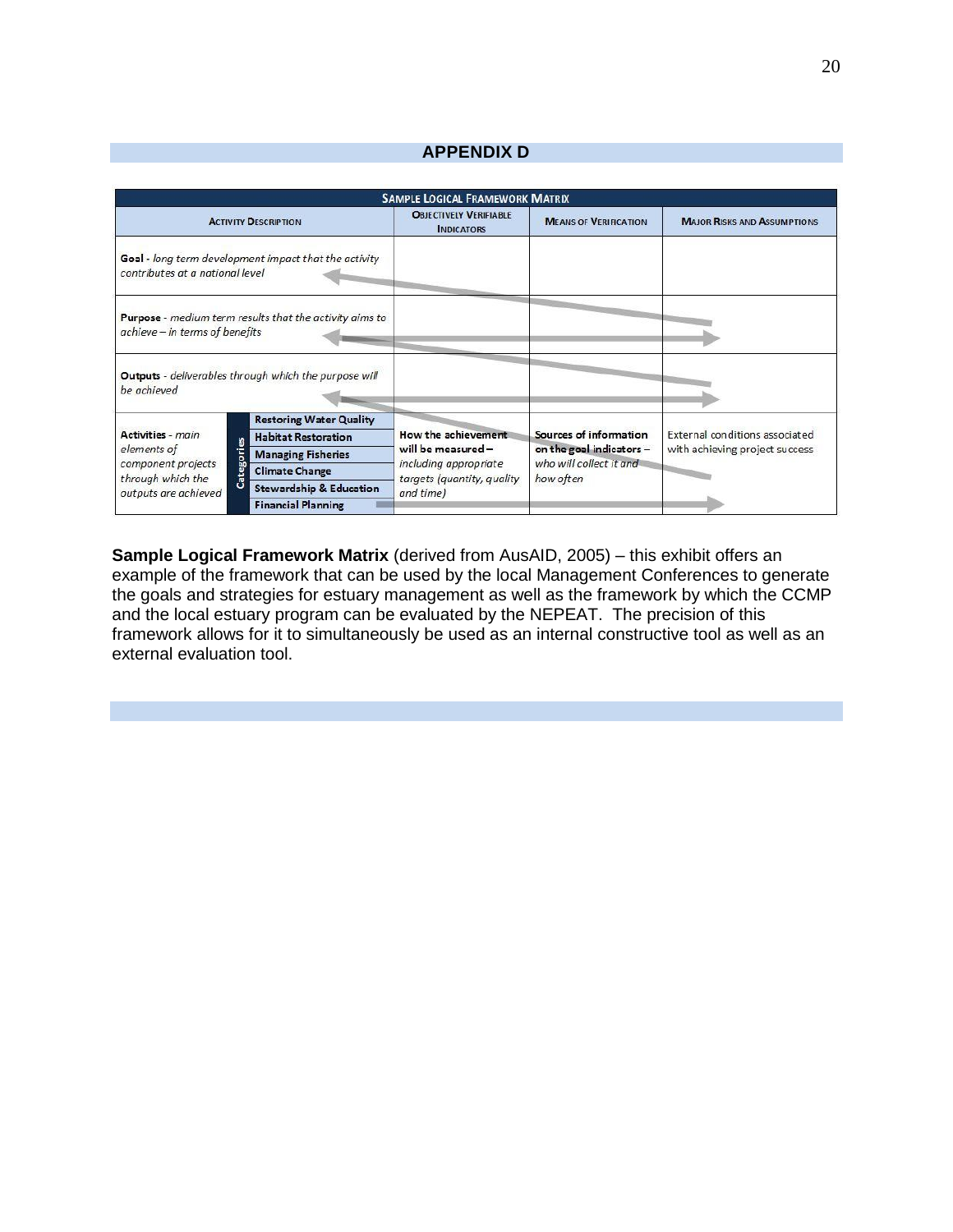# **APPENDIX D**

<span id="page-21-0"></span>

| <b>SAMPLE LOGICAL FRAMEWORK MATRIX</b>                                                                               |                                                                |                                                                                        |                                                                                            |                                                                  |  |
|----------------------------------------------------------------------------------------------------------------------|----------------------------------------------------------------|----------------------------------------------------------------------------------------|--------------------------------------------------------------------------------------------|------------------------------------------------------------------|--|
| <b>ACTIVITY DESCRIPTION</b>                                                                                          |                                                                | <b>OBJECTIVELY VERIFIABLE</b><br><b>INDICATORS</b>                                     | <b>MEANS OF VERIFICATION</b>                                                               | <b>MAJOR RISKS AND ASSUMPTIONS</b>                               |  |
| contributes at a national level                                                                                      | Goal - long term development impact that the activity          |                                                                                        |                                                                                            |                                                                  |  |
| achieve - in terms of benefits                                                                                       | <b>Purpose</b> - medium term results that the activity aims to |                                                                                        |                                                                                            |                                                                  |  |
| be achieved                                                                                                          | Outputs - deliverables through which the purpose will          |                                                                                        |                                                                                            |                                                                  |  |
| Activities - main<br>8<br>elements of<br>Categori<br>component projects<br>through which the<br>outputs are achieved | <b>Restoring Water Quality</b>                                 |                                                                                        | Sources of information<br>on the goal indicators -<br>who will collect it and<br>how often | External conditions associated<br>with achieving project success |  |
|                                                                                                                      | <b>Habitat Restoration</b>                                     | How the achievement                                                                    |                                                                                            |                                                                  |  |
|                                                                                                                      | <b>Managing Fisheries</b>                                      | will be measured -<br>including appropriate<br>targets (quantity, quality<br>and time) |                                                                                            |                                                                  |  |
|                                                                                                                      | <b>Climate Change</b>                                          |                                                                                        |                                                                                            |                                                                  |  |
|                                                                                                                      | <b>Stewardship &amp; Education</b>                             |                                                                                        |                                                                                            |                                                                  |  |
|                                                                                                                      | <b>Financial Planning</b>                                      |                                                                                        |                                                                                            |                                                                  |  |

**Sample Logical Framework Matrix** (derived from AusAID, 2005) – this exhibit offers an example of the framework that can be used by the local Management Conferences to generate the goals and strategies for estuary management as well as the framework by which the CCMP and the local estuary program can be evaluated by the NEPEAT. The precision of this framework allows for it to simultaneously be used as an internal constructive tool as well as an external evaluation tool.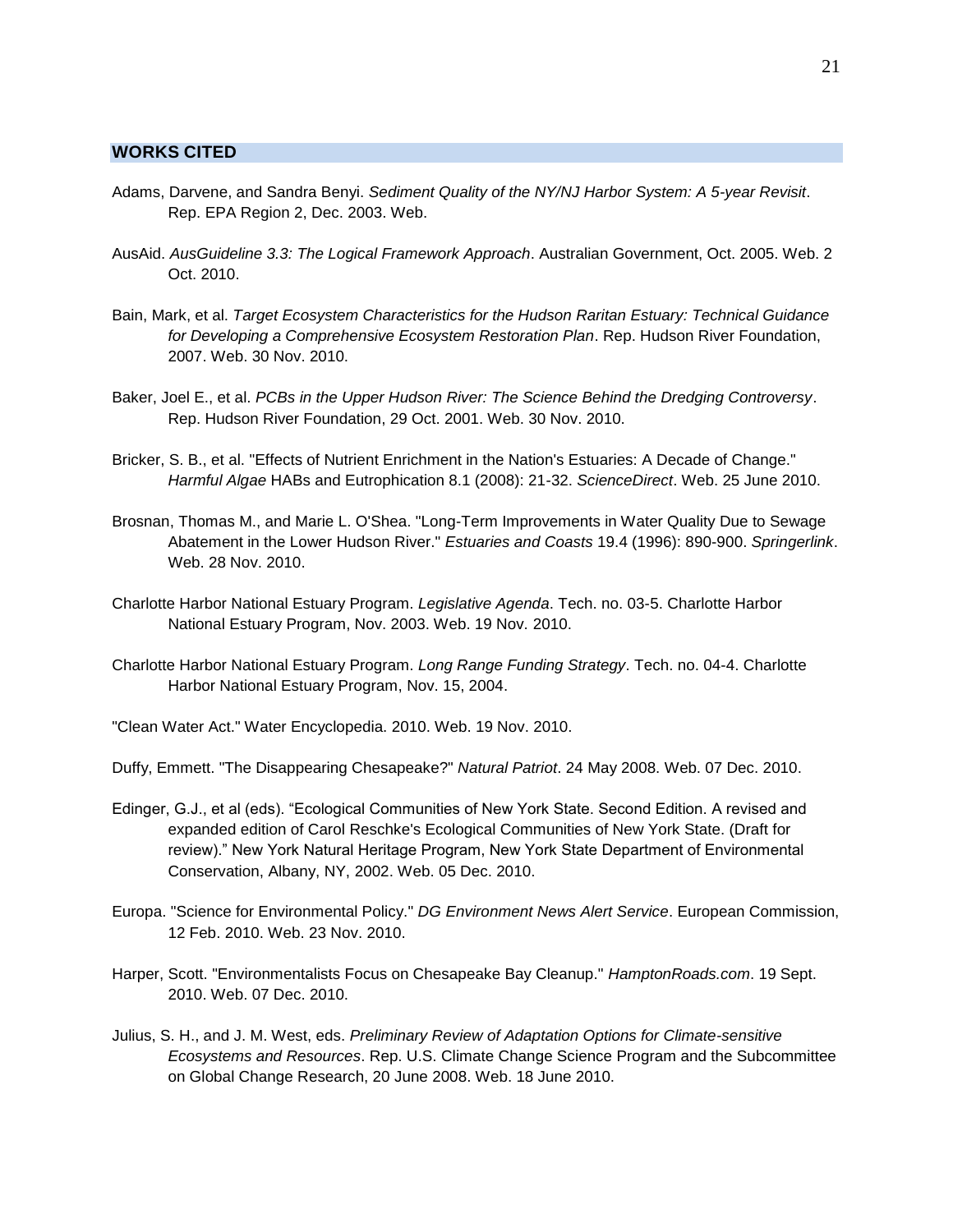#### <span id="page-22-0"></span>**WORKS CITED**

- Adams, Darvene, and Sandra Benyi. *Sediment Quality of the NY/NJ Harbor System: A 5-year Revisit*. Rep. EPA Region 2, Dec. 2003. Web.
- AusAid. *AusGuideline 3.3: The Logical Framework Approach*. Australian Government, Oct. 2005. Web. 2 Oct. 2010.
- Bain, Mark, et al. *Target Ecosystem Characteristics for the Hudson Raritan Estuary: Technical Guidance for Developing a Comprehensive Ecosystem Restoration Plan*. Rep. Hudson River Foundation, 2007. Web. 30 Nov. 2010.
- Baker, Joel E., et al. *PCBs in the Upper Hudson River: The Science Behind the Dredging Controversy*. Rep. Hudson River Foundation, 29 Oct. 2001. Web. 30 Nov. 2010.
- Bricker, S. B., et al. "Effects of Nutrient Enrichment in the Nation's Estuaries: A Decade of Change." *Harmful Algae* HABs and Eutrophication 8.1 (2008): 21-32. *ScienceDirect*. Web. 25 June 2010.
- Brosnan, Thomas M., and Marie L. O'Shea. "Long-Term Improvements in Water Quality Due to Sewage Abatement in the Lower Hudson River." *Estuaries and Coasts* 19.4 (1996): 890-900. *Springerlink*. Web. 28 Nov. 2010.
- Charlotte Harbor National Estuary Program. *Legislative Agenda*. Tech. no. 03-5. Charlotte Harbor National Estuary Program, Nov. 2003. Web. 19 Nov. 2010.
- Charlotte Harbor National Estuary Program. *Long Range Funding Strategy*. Tech. no. 04-4. Charlotte Harbor National Estuary Program, Nov. 15, 2004.
- "Clean Water Act." Water Encyclopedia. 2010. Web. 19 Nov. 2010.
- Duffy, Emmett. "The Disappearing Chesapeake?" *Natural Patriot*. 24 May 2008. Web. 07 Dec. 2010.
- Edinger, G.J., et al (eds). "Ecological Communities of New York State. Second Edition. A revised and expanded edition of Carol Reschke's Ecological Communities of New York State. (Draft for review)." New York Natural Heritage Program, New York State Department of Environmental Conservation, Albany, NY, 2002. Web. 05 Dec. 2010.
- Europa. "Science for Environmental Policy." *DG Environment News Alert Service*. European Commission, 12 Feb. 2010. Web. 23 Nov. 2010.
- Harper, Scott. "Environmentalists Focus on Chesapeake Bay Cleanup." *HamptonRoads.com*. 19 Sept. 2010. Web. 07 Dec. 2010.
- Julius, S. H., and J. M. West, eds. *Preliminary Review of Adaptation Options for Climate-sensitive Ecosystems and Resources*. Rep. U.S. Climate Change Science Program and the Subcommittee on Global Change Research, 20 June 2008. Web. 18 June 2010.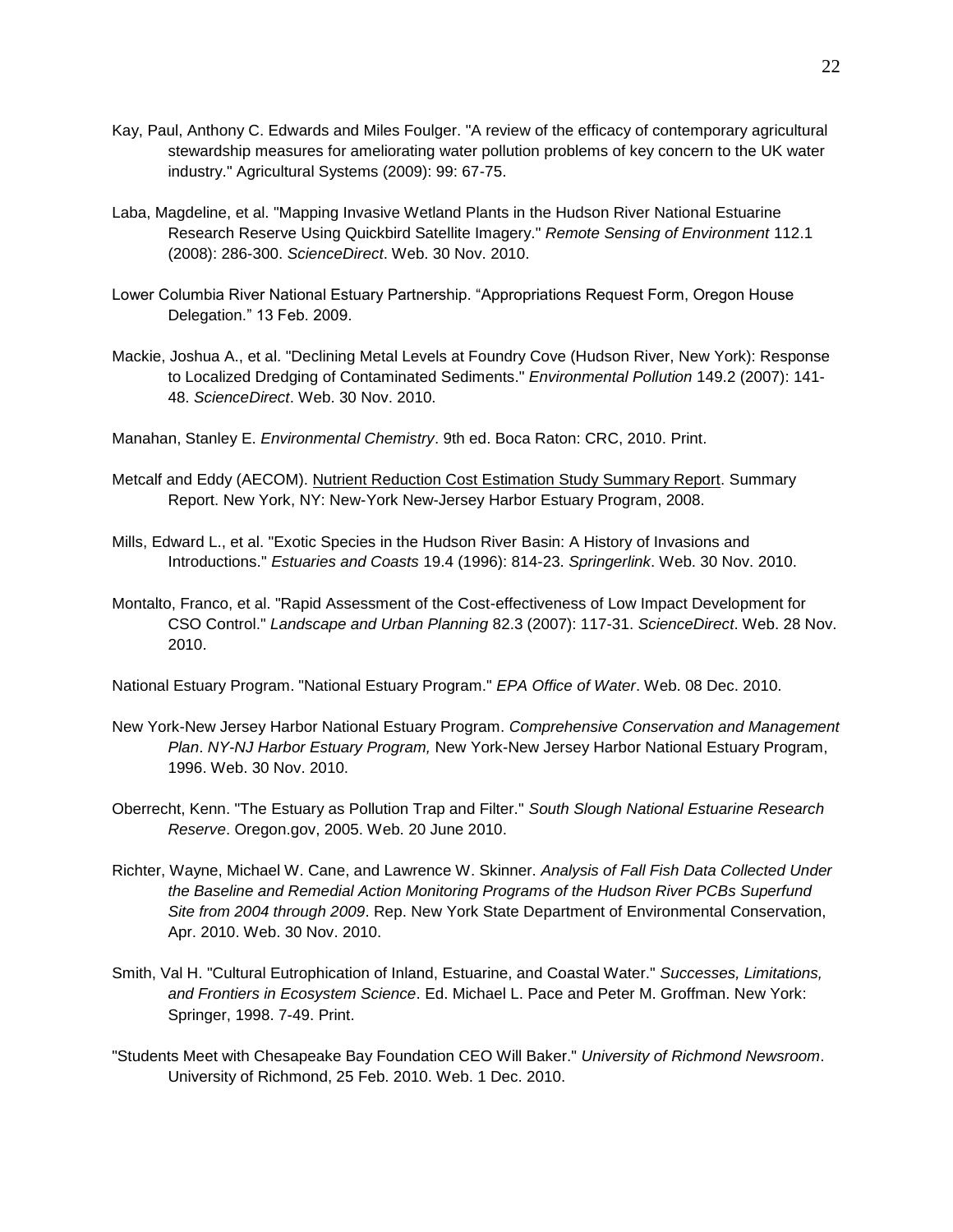- Kay, Paul, Anthony C. Edwards and Miles Foulger. "A review of the efficacy of contemporary agricultural stewardship measures for ameliorating water pollution problems of key concern to the UK water industry." Agricultural Systems (2009): 99: 67-75.
- Laba, Magdeline, et al. "Mapping Invasive Wetland Plants in the Hudson River National Estuarine Research Reserve Using Quickbird Satellite Imagery." *Remote Sensing of Environment* 112.1 (2008): 286-300. *ScienceDirect*. Web. 30 Nov. 2010.
- Lower Columbia River National Estuary Partnership. "Appropriations Request Form, Oregon House Delegation." 13 Feb. 2009.
- Mackie, Joshua A., et al. "Declining Metal Levels at Foundry Cove (Hudson River, New York): Response to Localized Dredging of Contaminated Sediments." *Environmental Pollution* 149.2 (2007): 141- 48. *ScienceDirect*. Web. 30 Nov. 2010.
- Manahan, Stanley E. *Environmental Chemistry*. 9th ed. Boca Raton: CRC, 2010. Print.
- Metcalf and Eddy (AECOM). Nutrient Reduction Cost Estimation Study Summary Report. Summary Report. New York, NY: New-York New-Jersey Harbor Estuary Program, 2008.
- Mills, Edward L., et al. "Exotic Species in the Hudson River Basin: A History of Invasions and Introductions." *Estuaries and Coasts* 19.4 (1996): 814-23. *Springerlink*. Web. 30 Nov. 2010.
- Montalto, Franco, et al. "Rapid Assessment of the Cost-effectiveness of Low Impact Development for CSO Control." *Landscape and Urban Planning* 82.3 (2007): 117-31. *ScienceDirect*. Web. 28 Nov. 2010.

National Estuary Program. "National Estuary Program." *EPA Office of Water*. Web. 08 Dec. 2010.

- New York-New Jersey Harbor National Estuary Program. *Comprehensive Conservation and Management Plan*. *NY-NJ Harbor Estuary Program,* New York-New Jersey Harbor National Estuary Program, 1996. Web. 30 Nov. 2010.
- Oberrecht, Kenn. "The Estuary as Pollution Trap and Filter." *South Slough National Estuarine Research Reserve*. Oregon.gov, 2005. Web. 20 June 2010.
- Richter, Wayne, Michael W. Cane, and Lawrence W. Skinner. *Analysis of Fall Fish Data Collected Under the Baseline and Remedial Action Monitoring Programs of the Hudson River PCBs Superfund Site from 2004 through 2009*. Rep. New York State Department of Environmental Conservation, Apr. 2010. Web. 30 Nov. 2010.
- Smith, Val H. "Cultural Eutrophication of Inland, Estuarine, and Coastal Water." *Successes, Limitations, and Frontiers in Ecosystem Science*. Ed. Michael L. Pace and Peter M. Groffman. New York: Springer, 1998. 7-49. Print.
- "Students Meet with Chesapeake Bay Foundation CEO Will Baker." *University of Richmond Newsroom*. University of Richmond, 25 Feb. 2010. Web. 1 Dec. 2010.